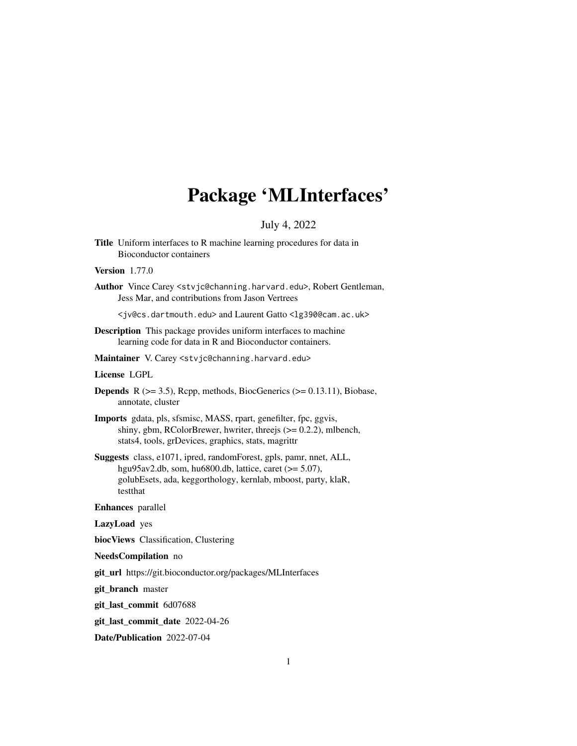# Package 'MLInterfaces'

# July 4, 2022

<span id="page-0-0"></span>Title Uniform interfaces to R machine learning procedures for data in Bioconductor containers

# Version 1.77.0

Author Vince Carey <stvjc@channing.harvard.edu>, Robert Gentleman, Jess Mar, and contributions from Jason Vertrees

<jv@cs.dartmouth.edu> and Laurent Gatto <lg390@cam.ac.uk>

- Description This package provides uniform interfaces to machine learning code for data in R and Bioconductor containers.
- Maintainer V. Carey <stvjc@channing.harvard.edu>

#### License LGPL

- **Depends** R  $(>= 3.5)$ , Rcpp, methods, BiocGenerics  $(>= 0.13.11)$ , Biobase, annotate, cluster
- Imports gdata, pls, sfsmisc, MASS, rpart, genefilter, fpc, ggvis, shiny, gbm, RColorBrewer, hwriter, threejs (>= 0.2.2), mlbench, stats4, tools, grDevices, graphics, stats, magrittr
- Suggests class, e1071, ipred, randomForest, gpls, pamr, nnet, ALL, hgu95av2.db, som, hu6800.db, lattice, caret (>= 5.07), golubEsets, ada, keggorthology, kernlab, mboost, party, klaR, testthat

#### Enhances parallel

LazyLoad yes

biocViews Classification, Clustering

#### NeedsCompilation no

git\_url https://git.bioconductor.org/packages/MLInterfaces

git\_branch master

git\_last\_commit 6d07688

git\_last\_commit\_date 2022-04-26

Date/Publication 2022-07-04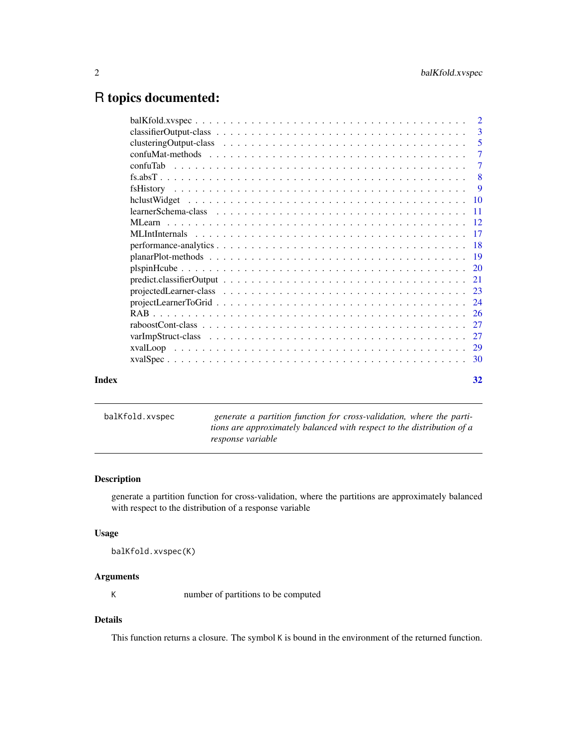# <span id="page-1-0"></span>R topics documented:

|       | -3             |
|-------|----------------|
|       |                |
|       | $\overline{7}$ |
|       | $\overline{7}$ |
|       |                |
|       | - 9            |
|       |                |
|       |                |
|       |                |
|       |                |
|       |                |
|       |                |
|       |                |
|       |                |
|       |                |
|       |                |
|       |                |
|       |                |
|       |                |
|       |                |
|       |                |
| Index | 32             |

balKfold.xvspec *generate a partition function for cross-validation, where the partitions are approximately balanced with respect to the distribution of a response variable*

# Description

generate a partition function for cross-validation, where the partitions are approximately balanced with respect to the distribution of a response variable

# Usage

```
balKfold.xvspec(K)
```
# Arguments

K number of partitions to be computed

# Details

This function returns a closure. The symbol K is bound in the environment of the returned function.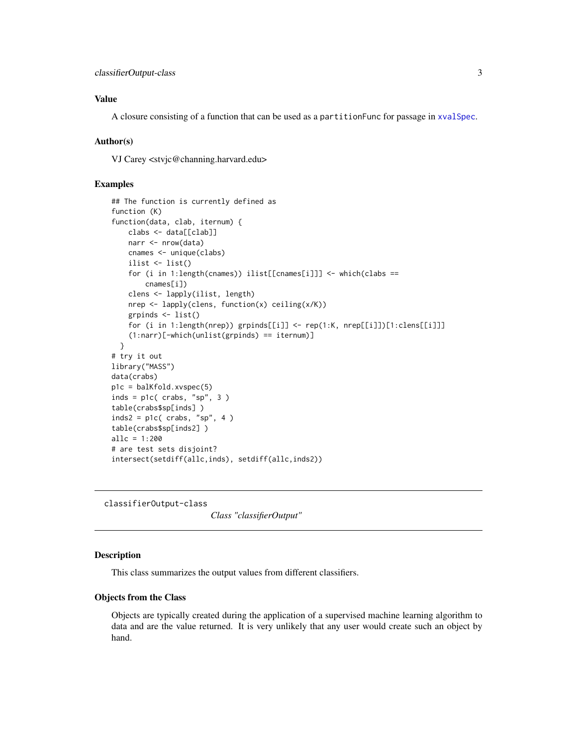# <span id="page-2-0"></span>Value

A closure consisting of a function that can be used as a partitionFunc for passage in [xvalSpec](#page-29-1).

#### Author(s)

VJ Carey <stvjc@channing.harvard.edu>

### Examples

```
## The function is currently defined as
function (K)
function(data, clab, iternum) {
   clabs <- data[[clab]]
   narr <- nrow(data)
    cnames <- unique(clabs)
    ilist <- list()
    for (i in 1:length(cnames)) ilist[[cnames[i]]] <- which(clabs ==
        cnames[i])
    clens <- lapply(ilist, length)
    nrep <- lapply(clens, function(x) ceiling(x/K))
    grpinds <- list()
    for (i in 1:length(nrep)) grpinds[[i]] <- rep(1:K, nrep[[i]])[1:clens[[i]]]
    (1:narr)[-which(unlist(grpinds) == iternum)]
  }
# try it out
library("MASS")
data(crabs)
p1c = balKfold.xvspec(5)
inds = p1c( crabs, "sp", 3)
table(crabs$sp[inds] )
inds2 = p1c( crabs, "sp", 4)
table(crabs$sp[inds2] )
allc = 1:200
# are test sets disjoint?
intersect(setdiff(allc,inds), setdiff(allc,inds2))
```
<span id="page-2-1"></span>classifierOutput-class

*Class "classifierOutput"*

#### Description

This class summarizes the output values from different classifiers.

#### Objects from the Class

Objects are typically created during the application of a supervised machine learning algorithm to data and are the value returned. It is very unlikely that any user would create such an object by hand.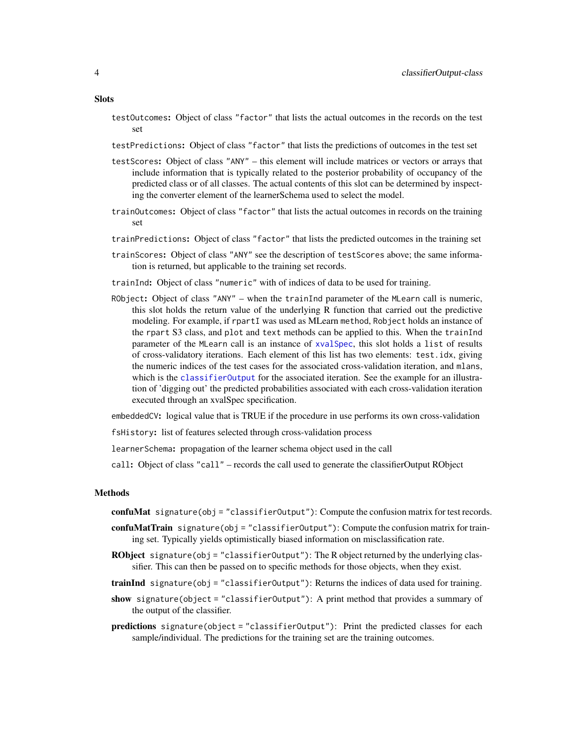- testOutcomes: Object of class "factor" that lists the actual outcomes in the records on the test set
- testPredictions: Object of class "factor" that lists the predictions of outcomes in the test set
- testScores: Object of class "ANY" this element will include matrices or vectors or arrays that include information that is typically related to the posterior probability of occupancy of the predicted class or of all classes. The actual contents of this slot can be determined by inspecting the converter element of the learnerSchema used to select the model.
- trainOutcomes: Object of class "factor" that lists the actual outcomes in records on the training set
- trainPredictions: Object of class "factor" that lists the predicted outcomes in the training set
- trainScores: Object of class "ANY" see the description of testScores above; the same information is returned, but applicable to the training set records.
- trainInd: Object of class "numeric" with of indices of data to be used for training.
- RObject: Object of class "ANY" when the trainInd parameter of the MLearn call is numeric, this slot holds the return value of the underlying R function that carried out the predictive modeling. For example, if rpartI was used as MLearn method, Robject holds an instance of the rpart S3 class, and plot and text methods can be applied to this. When the trainInd parameter of the MLearn call is an instance of [xvalSpec](#page-29-2), this slot holds a list of results of cross-validatory iterations. Each element of this list has two elements: test.idx, giving the numeric indices of the test cases for the associated cross-validation iteration, and mlans, which is the [classifierOutput](#page-2-1) for the associated iteration. See the example for an illustration of 'digging out' the predicted probabilities associated with each cross-validation iteration executed through an xvalSpec specification.

embeddedCV: logical value that is TRUE if the procedure in use performs its own cross-validation

fsHistory: list of features selected through cross-validation process

learnerSchema: propagation of the learner schema object used in the call

call: Object of class "call" – records the call used to generate the classifierOutput RObject

# Methods

- confuMat signature(obj = "classifierOutput"): Compute the confusion matrix for test records.
- confuMatTrain signature(obj = "classifierOutput"): Compute the confusion matrix for training set. Typically yields optimistically biased information on misclassification rate.
- RObject signature(obj = "classifierOutput"): The R object returned by the underlying classifier. This can then be passed on to specific methods for those objects, when they exist.
- trainInd signature( $obj = "classificationOutput")$ : Returns the indices of data used for training.
- show signature(object = "classifierOutput"): A print method that provides a summary of the output of the classifier.
- predictions signature(object = "classifierOutput"): Print the predicted classes for each sample/individual. The predictions for the training set are the training outcomes.

#### <span id="page-3-0"></span>**Slots**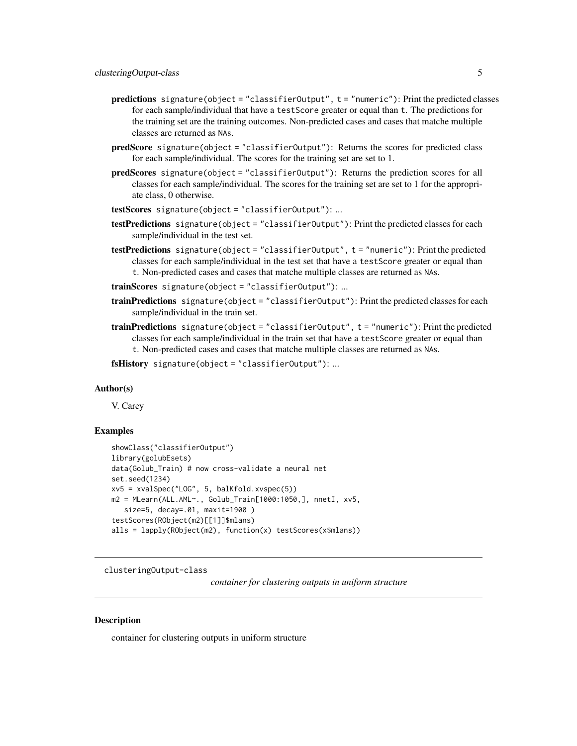- <span id="page-4-0"></span>predictions signature(object = "classifierOutput", t = "numeric"): Print the predicted classes for each sample/individual that have a testScore greater or equal than t. The predictions for the training set are the training outcomes. Non-predicted cases and cases that matche multiple classes are returned as NAs.
- predScore signature(object = "classifierOutput"): Returns the scores for predicted class for each sample/individual. The scores for the training set are set to 1.
- predScores signature(object = "classifierOutput"): Returns the prediction scores for all classes for each sample/individual. The scores for the training set are set to 1 for the appropriate class, 0 otherwise.
- testScores signature(object = "classifierOutput"): ...
- testPredictions signature(object = "classifierOutput"): Print the predicted classes for each sample/individual in the test set.
- testPredictions signature(object = "classifierOutput", t = "numeric"): Print the predicted classes for each sample/individual in the test set that have a testScore greater or equal than t. Non-predicted cases and cases that matche multiple classes are returned as NAs.
- trainScores signature(object = "classifierOutput"): ...
- trainPredictions signature(object = "classifierOutput"): Print the predicted classes for each sample/individual in the train set.
- trainPredictions signature(object = "classifierOutput", t = "numeric"): Print the predicted classes for each sample/individual in the train set that have a testScore greater or equal than t. Non-predicted cases and cases that matche multiple classes are returned as NAs.

fsHistory signature(object = "classifierOutput"): ...

#### Author(s)

V. Carey

#### Examples

```
showClass("classifierOutput")
library(golubEsets)
data(Golub_Train) # now cross-validate a neural net
set.seed(1234)
xv5 = xvalSpec("LOG", 5, balKfold.xvspec(5))
m2 = MLearn(ALL.AML<sup>2</sup>, Golub_Train[1000:1050,], nnetI, xv5,size=5, decay=.01, maxit=1900 )
testScores(RObject(m2)[[1]]$mlans)
alls = lapply(RObject(m2), function(x) testScores(x$mlans))
```
clusteringOutput-class

*container for clustering outputs in uniform structure*

#### **Description**

container for clustering outputs in uniform structure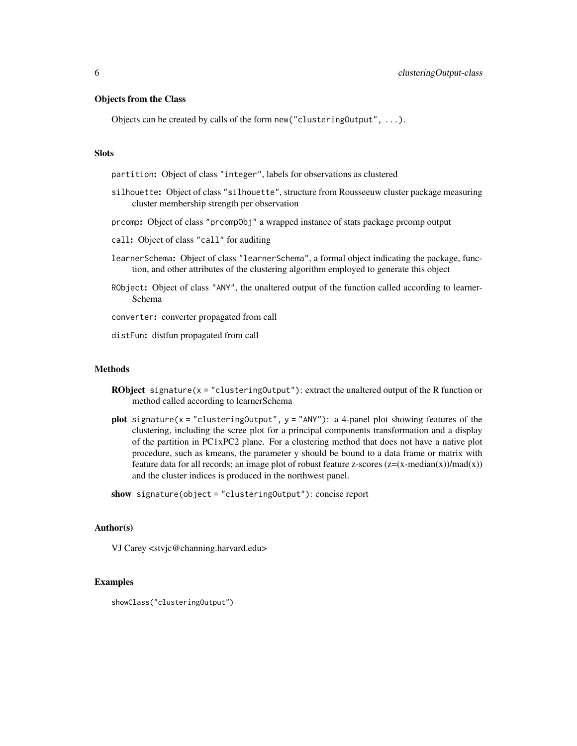### Objects from the Class

Objects can be created by calls of the form new("clusteringOutput", ...).

#### Slots

partition: Object of class "integer", labels for observations as clustered

- silhouette: Object of class "silhouette", structure from Rousseeuw cluster package measuring cluster membership strength per observation
- prcomp: Object of class "prcompObj" a wrapped instance of stats package prcomp output
- call: Object of class "call" for auditing
- learnerSchema: Object of class "learnerSchema", a formal object indicating the package, function, and other attributes of the clustering algorithm employed to generate this object
- RObject: Object of class "ANY", the unaltered output of the function called according to learner-Schema

converter: converter propagated from call

distFun: distfun propagated from call

#### Methods

- **RObject** signature(x = "clustering0utput"): extract the unaltered output of the R function or method called according to learnerSchema
- plot signature(x = "clusteringOutput",  $y =$  "ANY"): a 4-panel plot showing features of the clustering, including the scree plot for a principal components transformation and a display of the partition in  $PC1xPC2$  plane. For a clustering method that does not have a native plot procedure, such as kmeans, the parameter y should be bound to a data frame or matrix with feature data for all records; an image plot of robust feature z-scores  $(z=(x-median(x))/mad(x))$ and the cluster indices is produced in the northwest panel.

show signature(object = "clusteringOutput"): concise report

### Author(s)

VJ Carey <stvjc@channing.harvard.edu>

```
showClass("clusteringOutput")
```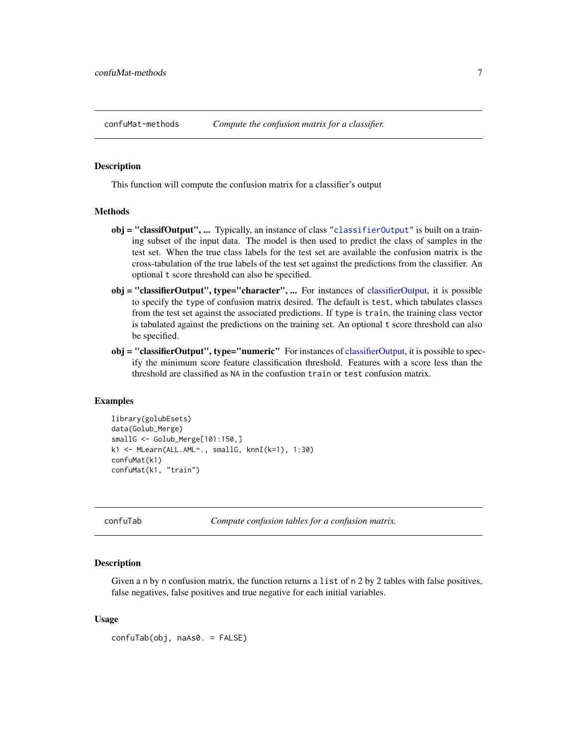<span id="page-6-0"></span>

#### Description

This function will compute the confusion matrix for a classifier's output

#### Methods

- obj = "classifOutput", ... Typically, an instance of class ["classifierOutput"](#page-2-1) is built on a training subset of the input data. The model is then used to predict the class of samples in the test set. When the true class labels for the test set are available the confusion matrix is the cross-tabulation of the true labels of the test set against the predictions from the classifier. An optional t score threshold can also be specified.
- obj = "classifierOutput", type="character", ... For instances of [classifierOutput,](#page-2-1) it is possible to specify the type of confusion matrix desired. The default is test, which tabulates classes from the test set against the associated predictions. If type is train, the training class vector is tabulated against the predictions on the training set. An optional t score threshold can also be specified.
- obj = "classifierOutput", type="numeric" For instances of [classifierOutput,](#page-2-1) it is possible to specify the minimum score feature classification threshold. Features with a score less than the threshold are classified as NA in the confustion train or test confusion matrix.

#### Examples

```
library(golubEsets)
data(Golub_Merge)
smallG <- Golub_Merge[101:150,]
k1 <- MLearn(ALL.AML~., smallG, knnI(k=1), 1:30)
confuMat(k1)
confuMat(k1, "train")
```
confuTab *Compute confusion tables for a confusion matrix.*

#### Description

Given a n by n confusion matrix, the function returns a list of n 2 by 2 tables with false positives, false negatives, false positives and true negative for each initial variables.

#### Usage

confuTab(obj, naAs0. = FALSE)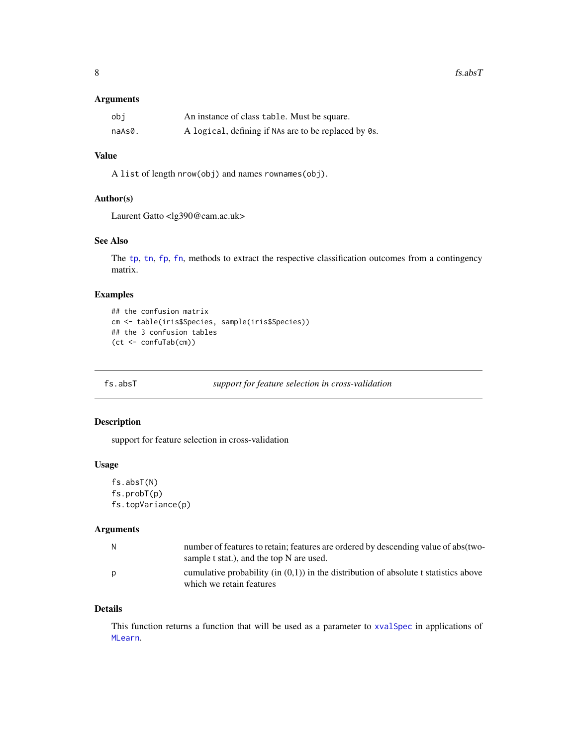# <span id="page-7-0"></span>Arguments

| obi    | An instance of class table. Must be square.          |
|--------|------------------------------------------------------|
| naAs0. | A logical, defining if NAs are to be replaced by 0s. |

# Value

A list of length nrow(obj) and names rownames(obj).

#### Author(s)

Laurent Gatto <lg390@cam.ac.uk>

#### See Also

The [tp](#page-17-1), [tn](#page-17-1), [fp](#page-17-1), [fn](#page-17-1), methods to extract the respective classification outcomes from a contingency matrix.

# Examples

```
## the confusion matrix
cm <- table(iris$Species, sample(iris$Species))
## the 3 confusion tables
(ct <- confuTab(cm))
```

```
fs.absT support for feature selection in cross-validation
```
### Description

support for feature selection in cross-validation

#### Usage

```
fs.absT(N)
fs.probT(p)
fs.topVariance(p)
```
# Arguments

| N | number of features to retain; features are ordered by descending value of abs(two-<br>sample t stat.), and the top N are used. |
|---|--------------------------------------------------------------------------------------------------------------------------------|
| D | cumulative probability (in $(0,1)$ ) in the distribution of absolute t statistics above<br>which we retain features            |

#### Details

This function returns a function that will be used as a parameter to [xvalSpec](#page-29-1) in applications of [MLearn](#page-11-1).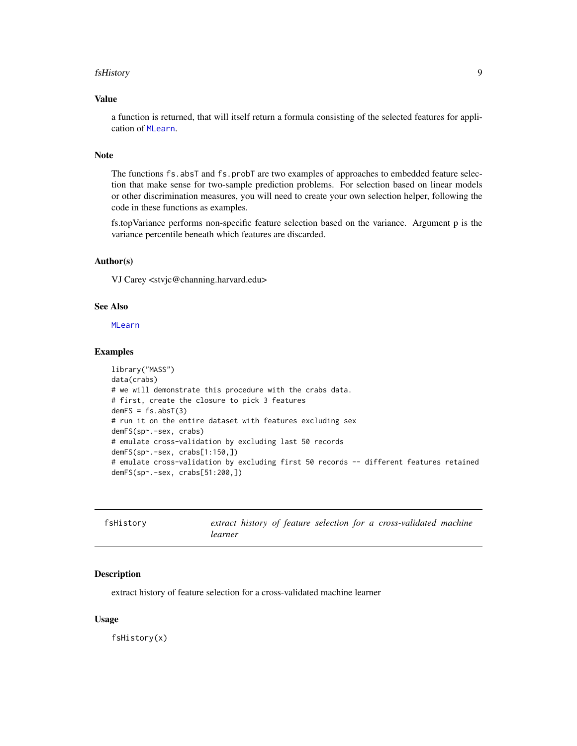#### <span id="page-8-0"></span>fsHistory 9

# Value

a function is returned, that will itself return a formula consisting of the selected features for application of [MLearn](#page-11-1).

# Note

The functions fs.absT and fs.probT are two examples of approaches to embedded feature selection that make sense for two-sample prediction problems. For selection based on linear models or other discrimination measures, you will need to create your own selection helper, following the code in these functions as examples.

fs.topVariance performs non-specific feature selection based on the variance. Argument p is the variance percentile beneath which features are discarded.

#### Author(s)

VJ Carey <stvjc@channing.harvard.edu>

# See Also

[MLearn](#page-11-1)

# Examples

```
library("MASS")
data(crabs)
# we will demonstrate this procedure with the crabs data.
# first, create the closure to pick 3 features
demFS = fs.absT(3)# run it on the entire dataset with features excluding sex
demFS(sp~.-sex, crabs)
# emulate cross-validation by excluding last 50 records
demFS(sp~.-sex, crabs[1:150,])
# emulate cross-validation by excluding first 50 records -- different features retained
demFS(sp~.-sex, crabs[51:200,])
```

| fsHistory |         |  |  |  | extract history of feature selection for a cross-validated machine |  |
|-----------|---------|--|--|--|--------------------------------------------------------------------|--|
|           | learner |  |  |  |                                                                    |  |

#### Description

extract history of feature selection for a cross-validated machine learner

#### Usage

fsHistory(x)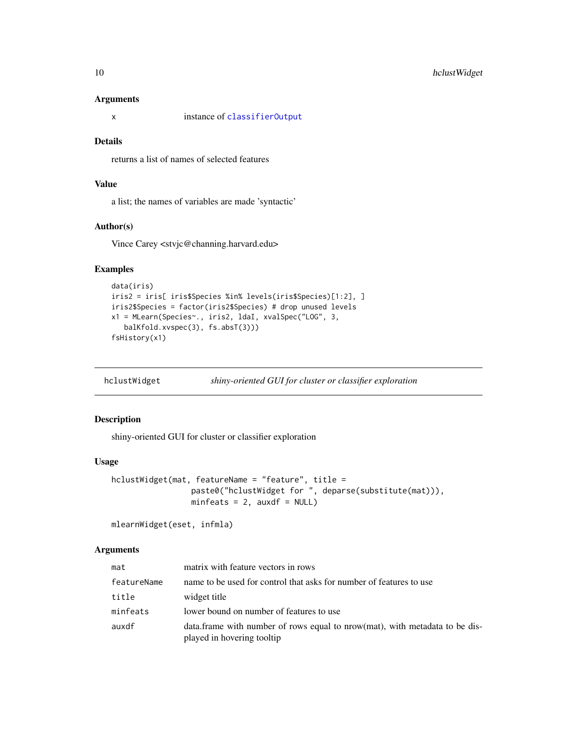#### Arguments

x instance of [classifierOutput](#page-2-1)

#### Details

returns a list of names of selected features

#### Value

a list; the names of variables are made 'syntactic'

#### Author(s)

Vince Carey <stvjc@channing.harvard.edu>

# Examples

```
data(iris)
iris2 = iris[ iris$Species %in% levels(iris$Species)[1:2], ]
iris2$Species = factor(iris2$Species) # drop unused levels
x1 = MLearn(Species~., iris2, ldaI, xvalSpec("LOG", 3,
  balKfold.xvspec(3), fs.absT(3)))
fsHistory(x1)
```
hclustWidget *shiny-oriented GUI for cluster or classifier exploration*

# Description

shiny-oriented GUI for cluster or classifier exploration

# Usage

```
hclustWidget(mat, featureName = "feature", title =
                 paste0("hclustWidget for ", deparse(substitute(mat))),
                 minfeats = 2, auxdf = NULL)
```

```
mlearnWidget(eset, infmla)
```
#### Arguments

| mat         | matrix with feature vectors in rows                                                                        |
|-------------|------------------------------------------------------------------------------------------------------------|
| featureName | name to be used for control that asks for number of features to use                                        |
| title       | widget title                                                                                               |
| minfeats    | lower bound on number of features to use                                                                   |
| auxdf       | data. frame with number of rows equal to nrow(mat), with metadata to be dis-<br>played in hovering tooltip |

<span id="page-9-0"></span>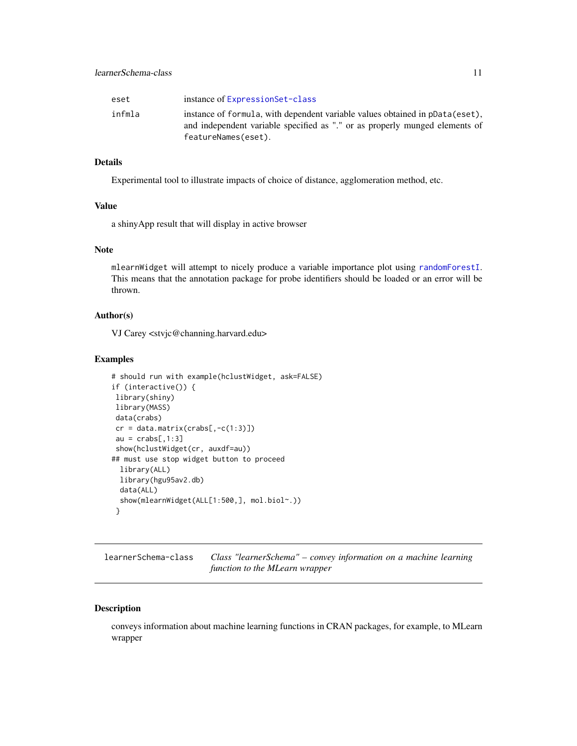<span id="page-10-0"></span>

| eset   | instance of ExpressionSet-class                                                                                                                                                    |
|--------|------------------------------------------------------------------------------------------------------------------------------------------------------------------------------------|
| infmla | instance of formula, with dependent variable values obtained in pData(eset),<br>and independent variable specified as "." or as properly munged elements of<br>featureNames(eset). |

# Details

Experimental tool to illustrate impacts of choice of distance, agglomeration method, etc.

#### Value

a shinyApp result that will display in active browser

# Note

mlearnWidget will attempt to nicely produce a variable importance plot using [randomForestI](#page-11-2). This means that the annotation package for probe identifiers should be loaded or an error will be thrown.

#### Author(s)

VJ Carey <stvjc@channing.harvard.edu>

#### Examples

```
# should run with example(hclustWidget, ask=FALSE)
if (interactive()) {
library(shiny)
library(MASS)
data(crabs)
cr = data_matrix(crabs[, -c(1:3)]au = crabs[, 1:3]show(hclustWidget(cr, auxdf=au))
## must use stop widget button to proceed
 library(ALL)
 library(hgu95av2.db)
 data(ALL)
 show(mlearnWidget(ALL[1:500,], mol.biol~.))
}
```
<span id="page-10-1"></span>learnerSchema-class *Class "learnerSchema" – convey information on a machine learning function to the MLearn wrapper*

#### Description

conveys information about machine learning functions in CRAN packages, for example, to MLearn wrapper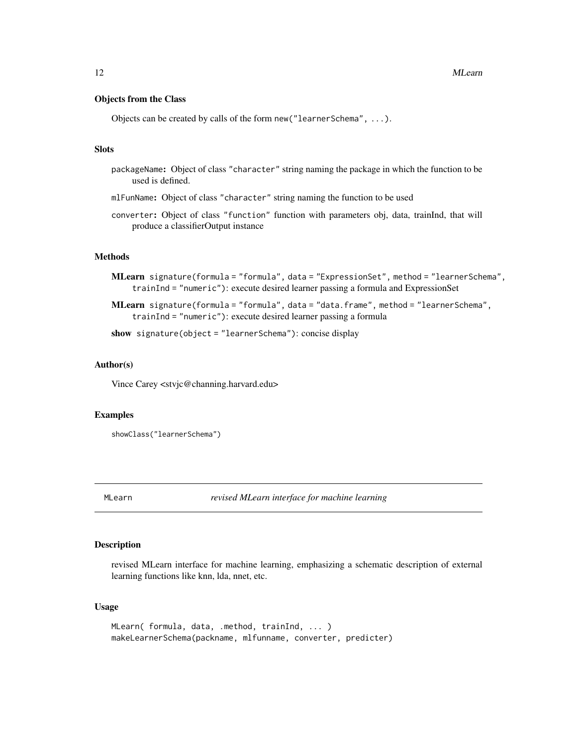#### <span id="page-11-0"></span>Objects from the Class

Objects can be created by calls of the form new("learnerSchema", ...).

### Slots

- packageName: Object of class "character" string naming the package in which the function to be used is defined.
- mlFunName: Object of class "character" string naming the function to be used
- converter: Object of class "function" function with parameters obj, data, trainInd, that will produce a classifierOutput instance

# **Methods**

- MLearn signature(formula = "formula", data = "ExpressionSet", method = "learnerSchema", trainInd = "numeric"): execute desired learner passing a formula and ExpressionSet
- MLearn signature(formula = "formula", data = "data.frame", method = "learnerSchema", trainInd = "numeric"): execute desired learner passing a formula

show signature(object = "learnerSchema"): concise display

#### Author(s)

Vince Carey <stvjc@channing.harvard.edu>

#### Examples

```
showClass("learnerSchema")
```
<span id="page-11-1"></span>MLearn *revised MLearn interface for machine learning*

# <span id="page-11-2"></span>Description

revised MLearn interface for machine learning, emphasizing a schematic description of external learning functions like knn, lda, nnet, etc.

#### Usage

```
MLearn( formula, data, .method, trainInd, ... )
makeLearnerSchema(packname, mlfunname, converter, predicter)
```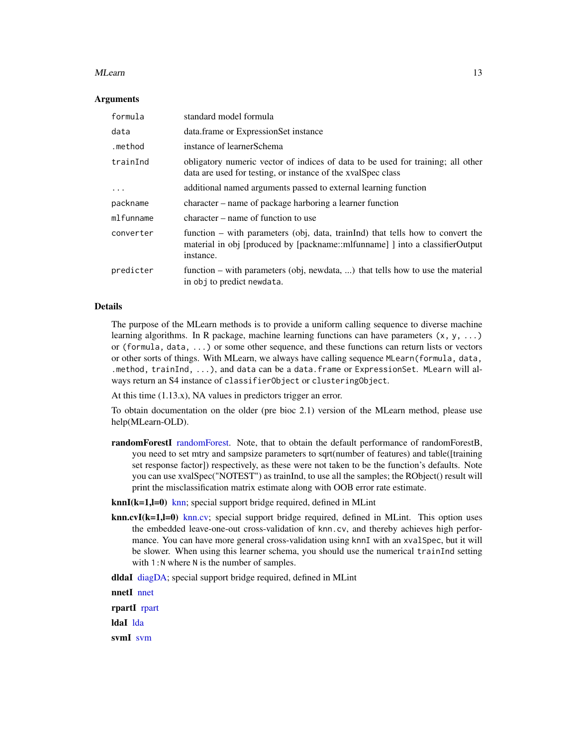#### <span id="page-12-0"></span>MLearn 13

#### **Arguments**

| formula   | standard model formula                                                                                                                                                         |
|-----------|--------------------------------------------------------------------------------------------------------------------------------------------------------------------------------|
| data      | data.frame or ExpressionSet instance                                                                                                                                           |
| .method   | instance of learnerSchema                                                                                                                                                      |
| trainInd  | obligatory numeric vector of indices of data to be used for training; all other<br>data are used for testing, or instance of the xvalSpec class                                |
| $\ddots$  | additional named arguments passed to external learning function                                                                                                                |
| packname  | character – name of package harboring a learner function                                                                                                                       |
| mlfunname | character – name of function to use                                                                                                                                            |
| converter | function $-$ with parameters (obj, data, trainlend) that tells how to convert the<br>material in obj [produced by [packname::mlfunname] ] into a classifierOutput<br>instance. |
| predicter | function – with parameters (obj, newdata, ) that tells how to use the material<br>in obj to predict newdata.                                                                   |

# Details

The purpose of the MLearn methods is to provide a uniform calling sequence to diverse machine learning algorithms. In R package, machine learning functions can have parameters  $(x, y, ...)$ or (formula, data, ...) or some other sequence, and these functions can return lists or vectors or other sorts of things. With MLearn, we always have calling sequence MLearn(formula, data, .method, trainInd, ...), and data can be a data.frame or ExpressionSet. MLearn will always return an S4 instance of classifierObject or clusteringObject.

At this time  $(1.13.x)$ , NA values in predictors trigger an error.

To obtain documentation on the older (pre bioc 2.1) version of the MLearn method, please use help(MLearn-OLD).

randomForestI [randomForest.](#page-0-0) Note, that to obtain the default performance of randomForestB, you need to set mtry and sampsize parameters to sqrt(number of features) and table([training set response factor]) respectively, as these were not taken to be the function's defaults. Note you can use xvalSpec("NOTEST") as trainInd, to use all the samples; the RObject() result will print the misclassification matrix estimate along with OOB error rate estimate.

 $knnI(k=1,l=0)$  [knn;](#page-0-0) special support bridge required, defined in MLint

 $knn.cvI(k=1,l=0)$  [knn.cv;](#page-0-0) special support bridge required, defined in MLint. This option uses the embedded leave-one-out cross-validation of knn.cv, and thereby achieves high performance. You can have more general cross-validation using knnI with an xvalSpec, but it will be slower. When using this learner schema, you should use the numerical trainInd setting with 1:N where N is the number of samples.

dldaI [diagDA;](#page-0-0) special support bridge required, defined in MLint

nnetI [nnet](#page-0-0) rpartI [rpart](#page-0-0) ldaI [lda](#page-0-0) svmI [svm](#page-0-0)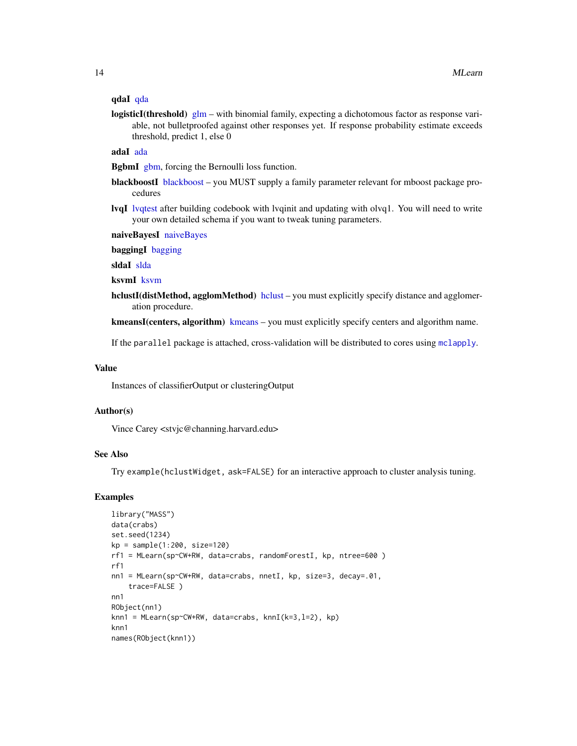### <span id="page-13-0"></span>qdaI [qda](#page-0-0)

logisticI(threshold)  $g/m -$  with binomial family, expecting a dichotomous factor as response variable, not bulletproofed against other responses yet. If response probability estimate exceeds threshold, predict 1, else 0

adaI [ada](#page-0-0)

BgbmI [gbm,](#page-0-0) forcing the Bernoulli loss function.

- [blackboost](#page-0-0)I blackboost you MUST supply a family parameter relevant for mboost package procedures
- **lvqI** lyqtest after building codebook with lyqinit and updating with olvq1. You will need to write your own detailed schema if you want to tweak tuning parameters.

naiveBayesI [naiveBayes](#page-0-0)

baggingI [bagging](#page-0-0)

sldaI [slda](#page-0-0)

ksvmI [ksvm](#page-0-0)

[hclust](#page-0-0)I(distMethod, agglomMethod) hclust – you must explicitly specify distance and agglomeration procedure.

[kmeans](#page-0-0)I(centers, algorithm) kmeans – you must explicitly specify centers and algorithm name.

If the parallel package is attached, cross-validation will be distributed to cores using [mclapply](#page-0-0).

#### Value

Instances of classifierOutput or clusteringOutput

#### Author(s)

Vince Carey <stvjc@channing.harvard.edu>

# See Also

Try example(hclustWidget, ask=FALSE) for an interactive approach to cluster analysis tuning.

```
library("MASS")
data(crabs)
set.seed(1234)
kp = sample(1:200, size=120)rf1 = MLearn(sp~CW+RW, data=crabs, randomForestI, kp, ntree=600 )
rf1
nn1 = MLearn(sp~CW+RW, data=crabs, nnetI, kp, size=3, decay=.01,
    trace=FALSE )
nn1
RObject(nn1)
knn1 = MLearn(sp~CW+RW, data=crabs, knnI(k=3,l=2), kp)
knn1
names(RObject(knn1))
```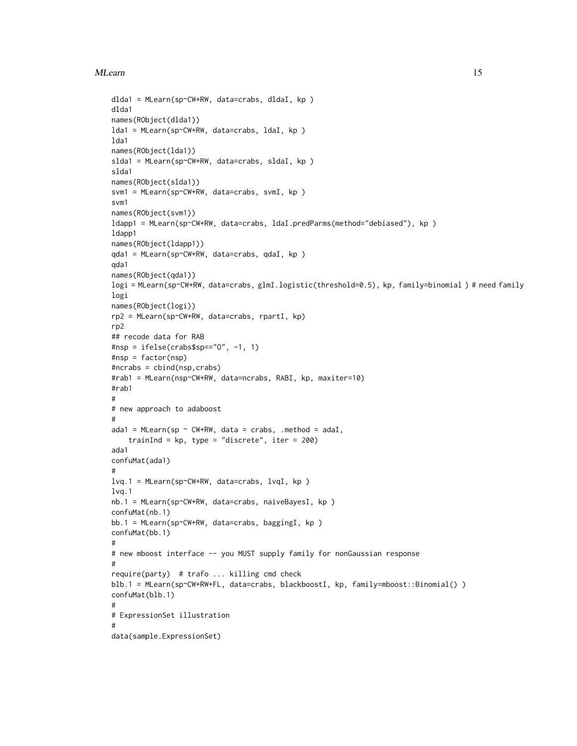#### MLearn 15

```
dlda1 = MLearn(sp~CW+RW, data=crabs, dldaI, kp )
dlda1
names(RObject(dlda1))
lda1 = MLearn(sp~CW+RW, data=crabs, ldaI, kp )
lda1
names(RObject(lda1))
slda1 = MLearn(sp~CW+RW, data=crabs, sldaI, kp )
slda1
names(RObject(slda1))
svm1 = MLearn(sp~CW+RW, data=crabs, svmI, kp )
svm1
names(RObject(svm1))
ldapp1 = MLearn(sp~CW+RW, data=crabs, ldaI.predParms(method="debiased"), kp )
ldapp1
names(RObject(ldapp1))
qda1 = MLearn(sp~CW+RW, data=crabs, qdaI, kp )
qda1
names(RObject(qda1))
logi = MLearn(sp~CW+RW, data=crabs, glmI.logistic(threshold=0.5), kp, family=binomial ) # need family
logi
names(RObject(logi))
rp2 = MLearn(sp~CW+RW, data=crabs, rpartI, kp)
rp2
## recode data for RAB
#nsp = ifelse(crabs$sp=="O", -1, 1)
#nsp = factor(nsp)
#ncrabs = cbind(nsp,crabs)
#rab1 = MLearn(nsp~CW+RW, data=ncrabs, RABI, kp, maxiter=10)
#rab1
#
# new approach to adaboost
#
ada1 = MLearn(sp \sim CW+RW, data = crabs, .method = adaI,
    trainInd = kp, type = "discrete", iter = 200)
ada1
confuMat(ada1)
#
lvq.1 = MLearn(sp~CW+RW, data=crabs, lvqI, kp )
lvq.1
nb.1 = MLearn(sp~CW+RW, data=crabs, naiveBayesI, kp )
confuMat(nb.1)
bb.1 = MLearn(sp~CW+RW, data=crabs, baggingI, kp )
confuMat(bb.1)
#
# new mboost interface -- you MUST supply family for nonGaussian response
#
require(party) # trafo ... killing cmd check
blb.1 = MLearn(sp~CW+RW+FL, data=crabs, blackboostI, kp, family=mboost::Binomial() )
confuMat(blb.1)
#
# ExpressionSet illustration
#
data(sample.ExpressionSet)
```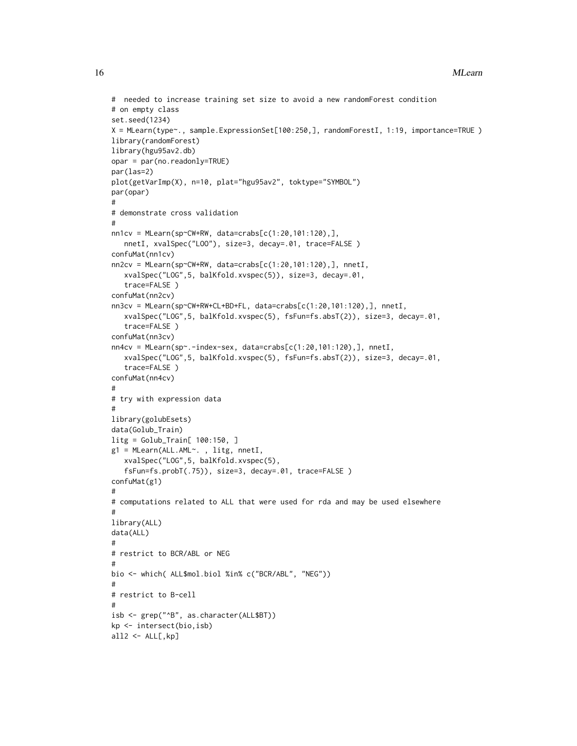```
# needed to increase training set size to avoid a new randomForest condition
# on empty class
set.seed(1234)
X = MLearn(type~., sample.ExpressionSet[100:250,], randomForestI, 1:19, importance=TRUE )
library(randomForest)
library(hgu95av2.db)
opar = par(no.readonly=TRUE)
par(las=2)
plot(getVarImp(X), n=10, plat="hgu95av2", toktype="SYMBOL")
par(opar)
#
# demonstrate cross validation
#
nn1cv = MLearn(sp~CW+RW, data=crabs[c(1:20,101:120),],
   nnetI, xvalSpec("LOO"), size=3, decay=.01, trace=FALSE )
confuMat(nn1cv)
nn2cv = MLearn(sp~CW+RW, data=crabs[c(1:20,101:120),], nnetI,
   xvalSpec("LOG",5, balKfold.xvspec(5)), size=3, decay=.01,
   trace=FALSE )
confuMat(nn2cv)
nn3cv = MLearn(sp~CW+RW+CL+BD+FL, data=crabs[c(1:20,101:120),], nnetI,
   xvalSpec("LOG",5, balKfold.xvspec(5), fsFun=fs.absT(2)), size=3, decay=.01,
   trace=FALSE )
confuMat(nn3cv)
nn4cv = MLearn(sp~.-index-sex, data=crabs[c(1:20,101:120),], nnetI,
   xvalSpec("LOG",5, balKfold.xvspec(5), fsFun=fs.absT(2)), size=3, decay=.01,
   trace=FALSE )
confuMat(nn4cv)
#
# try with expression data
#
library(golubEsets)
data(Golub_Train)
litg = Golub_Train[ 100:150, ]
g1 = MLearn(ALL.AML~. , litg, nnetI,
   xvalSpec("LOG",5, balKfold.xvspec(5),
   fsFun=fs.probT(.75)), size=3, decay=.01, trace=FALSE )
confuMat(g1)
#
# computations related to ALL that were used for rda and may be used elsewhere
#
library(ALL)
data(ALL)
#
# restrict to BCR/ABL or NEG
#
bio <- which( ALL$mol.biol %in% c("BCR/ABL", "NEG"))
#
# restrict to B-cell
#
isb <- grep("^B", as.character(ALL$BT))
kp <- intersect(bio,isb)
all2 < -ALL[, kp]
```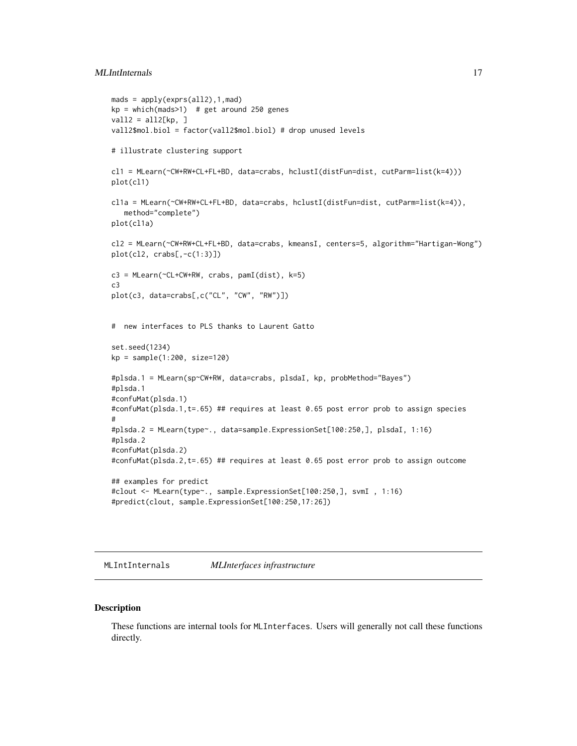# <span id="page-16-0"></span>MLIntInternals 17

```
mads = apply(exprs(all2),1,mad)
kp = which (mads > 1) # get around 250 genes
vall2 = all2[kp, ]
vall2$mol.biol = factor(vall2$mol.biol) # drop unused levels
# illustrate clustering support
cl1 = MLearn(~CW+RW+CL+FL+BD, data=crabs, hclustI(distFun=dist, cutParm=list(k=4)))
plot(cl1)
cl1a = MLearn(~CW+RW+CL+FL+BD, data=crabs, hclustI(distFun=dist, cutParm=list(k=4)),
   method="complete")
plot(cl1a)
cl2 = MLearn(~CW+RW+CL+FL+BD, data=crabs, kmeansI, centers=5, algorithm="Hartigan-Wong")
plot(cl2, crabs[,-c(1:3)])
c3 = MLearn(\text{CL+CW+RW}, \text{crabs}, \text{pamI(dist)}, k=5)c3
plot(c3, data=crabs[,c("CL", "CW", "RW")])
# new interfaces to PLS thanks to Laurent Gatto
set.seed(1234)
kp = sample(1:200, size=120)
#plsda.1 = MLearn(sp~CW+RW, data=crabs, plsdaI, kp, probMethod="Bayes")
#plsda.1
#confuMat(plsda.1)
#confuMat(plsda.1,t=.65) ## requires at least 0.65 post error prob to assign species
#
#plsda.2 = MLearn(type~., data=sample.ExpressionSet[100:250,], plsdaI, 1:16)
#plsda.2
#confuMat(plsda.2)
#confuMat(plsda.2,t=.65) ## requires at least 0.65 post error prob to assign outcome
## examples for predict
#clout <- MLearn(type~., sample.ExpressionSet[100:250,], svmI , 1:16)
#predict(clout, sample.ExpressionSet[100:250,17:26])
```
MLIntInternals *MLInterfaces infrastructure*

#### **Description**

These functions are internal tools for MLInterfaces. Users will generally not call these functions directly.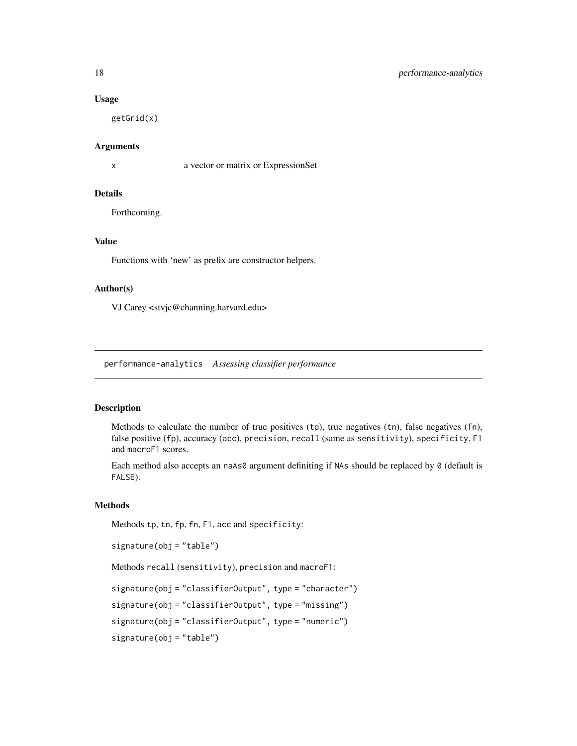#### <span id="page-17-0"></span>Usage

getGrid(x)

#### Arguments

x a vector or matrix or ExpressionSet

#### Details

Forthcoming.

### Value

Functions with 'new' as prefix are constructor helpers.

#### Author(s)

VJ Carey <stvjc@channing.harvard.edu>

performance-analytics *Assessing classifier performance*

#### <span id="page-17-1"></span>Description

Methods to calculate the number of true positives (tp), true negatives (tn), false negatives (fn), false positive (fp), accuracy (acc), precision, recall (same as sensitivity), specificity, F1 and macroF1 scores.

Each method also accepts an naAs0 argument definiting if NAs should be replaced by 0 (default is FALSE).

## Methods

Methods tp, tn, fp, fn, F1, acc and specificity:

```
signature(obj = "table")
```
Methods recall (sensitivity), precision and macroF1:

signature(obj = "classifierOutput", type = "character")

signature(obj = "classifierOutput", type = "missing")

signature(obj = "classifierOutput", type = "numeric")

signature(obj = "table")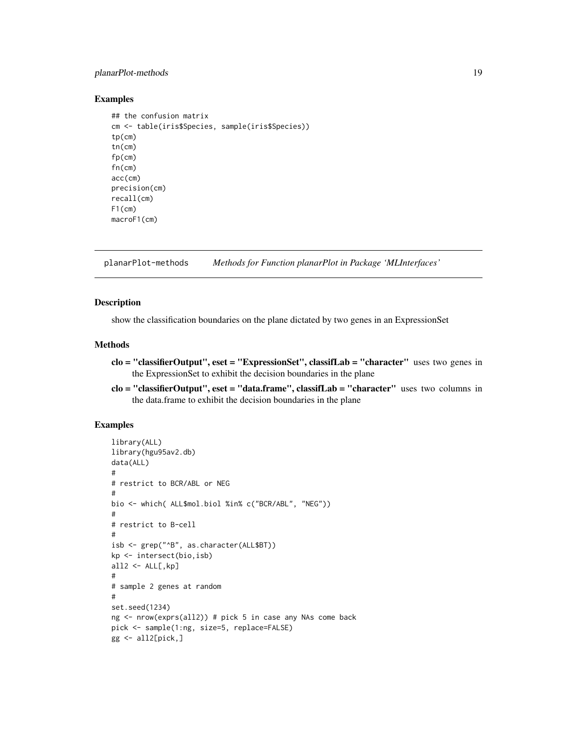# <span id="page-18-0"></span>planarPlot-methods 19

#### Examples

```
## the confusion matrix
cm <- table(iris$Species, sample(iris$Species))
tp(cm)
tn(cm)
fp(cm)
fn(cm)
acc(cm)
precision(cm)
recall(cm)
F1(cm)
macroF1(cm)
```
planarPlot-methods *Methods for Function planarPlot in Package 'MLInterfaces'*

#### Description

show the classification boundaries on the plane dictated by two genes in an ExpressionSet

#### Methods

- clo = "classifierOutput", eset = "ExpressionSet", classifLab = "character" uses two genes in the ExpressionSet to exhibit the decision boundaries in the plane
- clo = "classifierOutput", eset = "data.frame", classifLab = "character" uses two columns in the data.frame to exhibit the decision boundaries in the plane

```
library(ALL)
library(hgu95av2.db)
data(ALL)
#
# restrict to BCR/ABL or NEG
#
bio <- which( ALL$mol.biol %in% c("BCR/ABL", "NEG"))
#
# restrict to B-cell
#
isb <- grep("^B", as.character(ALL$BT))
kp <- intersect(bio,isb)
all2 < -ALL[, kp]#
# sample 2 genes at random
#
set.seed(1234)
ng <- nrow(exprs(all2)) # pick 5 in case any NAs come back
pick <- sample(1:ng, size=5, replace=FALSE)
gg \leftarrow all2[pick, ]
```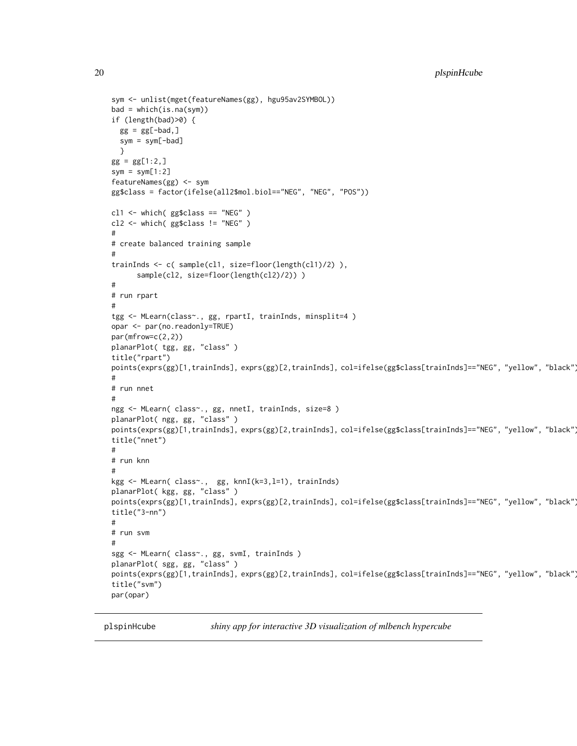```
sym <- unlist(mget(featureNames(gg), hgu95av2SYMBOL))
bad = which(is.na(sym))if (length(bad)>0) {
 gg = gg[-bad,]sym = sym[-bad]
  }
gg = gg[1:2,]sym = sym[1:2]featureNames(gg) <- sym
gg$class = factor(ifelse(all2$mol.biol=="NEG", "NEG", "POS"))
cl1 <- which( gg$class == "NEG" )
cl2 <- which( gg$class != "NEG" )
#
# create balanced training sample
#
trainInds <- c( sample(cl1, size=floor(length(cl1)/2) ),
      sample(cl2, size=floor(length(cl2)/2)))
#
# run rpart
#
tgg <- MLearn(class~., gg, rpartI, trainInds, minsplit=4 )
opar <- par(no.readonly=TRUE)
par(mfrow=c(2,2))
planarPlot( tgg, gg, "class" )
title("rpart")
points(exprs(gg)[1,trainInds], exprs(gg)[2,trainInds], col=ifelse(gg$class[trainInds]=="NEG", "yellow", "black")
#
# run nnet
#
ngg <- MLearn( class~., gg, nnetI, trainInds, size=8 )
planarPlot( ngg, gg, "class" )
points(exprs(gg)[1,trainInds], exprs(gg)[2,trainInds], col=ifelse(gg$class[trainInds]=="NEG", "yellow", "black")
title("nnet")
#
# run knn
#
kgg <- MLearn( class~., gg, knnI(k=3,l=1), trainInds)
planarPlot( kgg, gg, "class" )
points(exprs(gg)[1,trainInds], exprs(gg)[2,trainInds], col=ifelse(gg$class[trainInds]=="NEG", "yellow", "black")
title("3-nn")
#
# run svm
#
sgg <- MLearn( class~., gg, svmI, trainInds )
planarPlot( sgg, gg, "class" )
points(exprs(gg)[1,trainInds], exprs(gg)[2,trainInds], col=ifelse(gg$class[trainInds]=="NEG", "yellow", "black")
title("svm")
par(opar)
```
plspinHcube *shiny app for interactive 3D visualization of mlbench hypercube*

<span id="page-19-0"></span>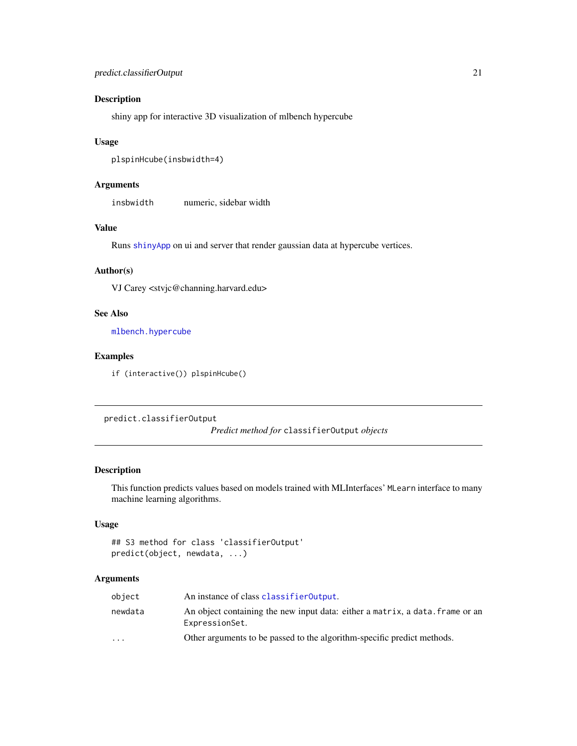# <span id="page-20-0"></span>Description

shiny app for interactive 3D visualization of mlbench hypercube

#### Usage

```
plspinHcube(insbwidth=4)
```
# Arguments

insbwidth numeric, sidebar width

# Value

Runs [shinyApp](#page-0-0) on ui and server that render gaussian data at hypercube vertices.

# Author(s)

VJ Carey <stvjc@channing.harvard.edu>

#### See Also

[mlbench.hypercube](#page-0-0)

# Examples

if (interactive()) plspinHcube()

predict.classifierOutput

*Predict method for* classifierOutput *objects*

### Description

This function predicts values based on models trained with MLInterfaces' MLearn interface to many machine learning algorithms.

# Usage

```
## S3 method for class 'classifierOutput'
predict(object, newdata, ...)
```
#### Arguments

| object                  | An instance of class classifier0utput.                                                          |
|-------------------------|-------------------------------------------------------------------------------------------------|
| newdata                 | An object containing the new input data: either a matrix, a data. frame or an<br>ExpressionSet. |
| $\cdot$ $\cdot$ $\cdot$ | Other arguments to be passed to the algorithm-specific predict methods.                         |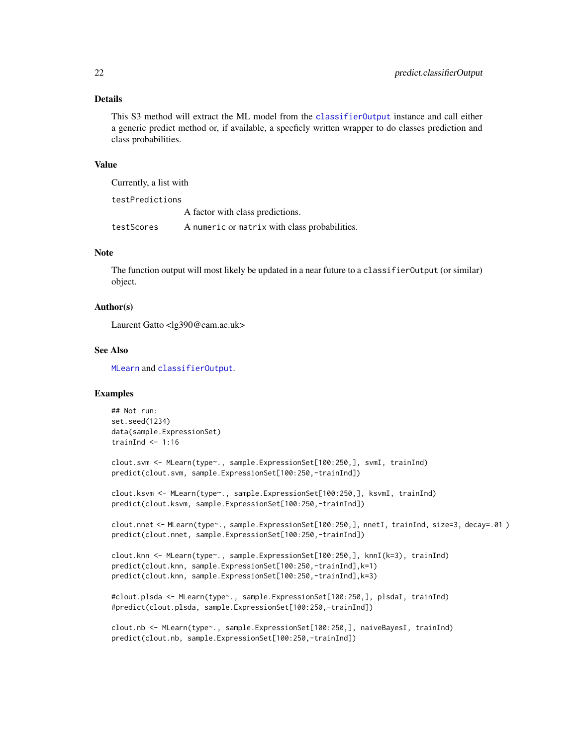# <span id="page-21-0"></span>Details

This S3 method will extract the ML model from the [classifierOutput](#page-2-1) instance and call either a generic predict method or, if available, a specficly written wrapper to do classes prediction and class probabilities.

#### Value

Currently, a list with

testPredictions

A factor with class predictions.

testScores A numeric or matrix with class probabilities.

#### Note

The function output will most likely be updated in a near future to a classifierOutput (or similar) object.

#### Author(s)

Laurent Gatto <lg390@cam.ac.uk>

#### See Also

[MLearn](#page-11-1) and [classifierOutput](#page-2-1).

#### Examples

```
## Not run:
set.seed(1234)
data(sample.ExpressionSet)
trainInd \leq -1:16
```
clout.svm <- MLearn(type~., sample.ExpressionSet[100:250,], svmI, trainInd) predict(clout.svm, sample.ExpressionSet[100:250,-trainInd])

clout.ksvm <- MLearn(type~., sample.ExpressionSet[100:250,], ksvmI, trainInd) predict(clout.ksvm, sample.ExpressionSet[100:250,-trainInd])

clout.nnet <- MLearn(type~., sample.ExpressionSet[100:250,], nnetI, trainInd, size=3, decay=.01 ) predict(clout.nnet, sample.ExpressionSet[100:250,-trainInd])

```
clout.knn <- MLearn(type~., sample.ExpressionSet[100:250,], knnI(k=3), trainInd)
predict(clout.knn, sample.ExpressionSet[100:250,-trainInd],k=1)
predict(clout.knn, sample.ExpressionSet[100:250,-trainInd],k=3)
```

```
#clout.plsda <- MLearn(type~., sample.ExpressionSet[100:250,], plsdaI, trainInd)
#predict(clout.plsda, sample.ExpressionSet[100:250,-trainInd])
```
clout.nb <- MLearn(type~., sample.ExpressionSet[100:250,], naiveBayesI, trainInd) predict(clout.nb, sample.ExpressionSet[100:250,-trainInd])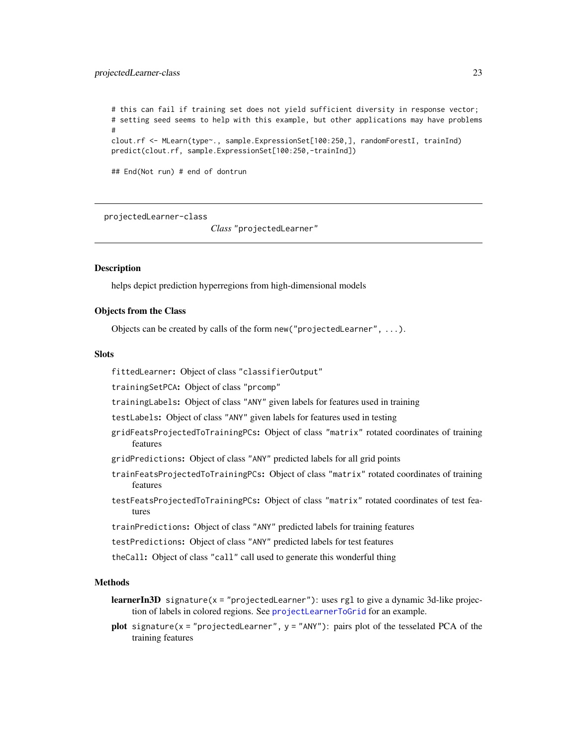#### <span id="page-22-0"></span>projectedLearner-class 23

# this can fail if training set does not yield sufficient diversity in response vector; # setting seed seems to help with this example, but other applications may have problems # clout.rf <- MLearn(type~., sample.ExpressionSet[100:250,], randomForestI, trainInd) predict(clout.rf, sample.ExpressionSet[100:250,-trainInd])

## End(Not run) # end of dontrun

<span id="page-22-1"></span>projectedLearner-class

*Class* "projectedLearner"

#### **Description**

helps depict prediction hyperregions from high-dimensional models

#### Objects from the Class

Objects can be created by calls of the form new("projectedLearner", ...).

#### **Slots**

fittedLearner: Object of class "classifierOutput"

trainingSetPCA: Object of class "prcomp"

trainingLabels: Object of class "ANY" given labels for features used in training

testLabels: Object of class "ANY" given labels for features used in testing

- gridFeatsProjectedToTrainingPCs: Object of class "matrix" rotated coordinates of training features
- gridPredictions: Object of class "ANY" predicted labels for all grid points
- trainFeatsProjectedToTrainingPCs: Object of class "matrix" rotated coordinates of training features
- testFeatsProjectedToTrainingPCs: Object of class "matrix" rotated coordinates of test features

trainPredictions: Object of class "ANY" predicted labels for training features

testPredictions: Object of class "ANY" predicted labels for test features

theCall: Object of class "call" call used to generate this wonderful thing

# Methods

- **learnerIn3D** signature( $x = "projectedLearner")$ : uses rgl to give a dynamic 3d-like projection of labels in colored regions. See [projectLearnerToGrid](#page-23-1) for an example.
- plot signature( $x =$  "projectedLearner",  $y =$  "ANY"): pairs plot of the tesselated PCA of the training features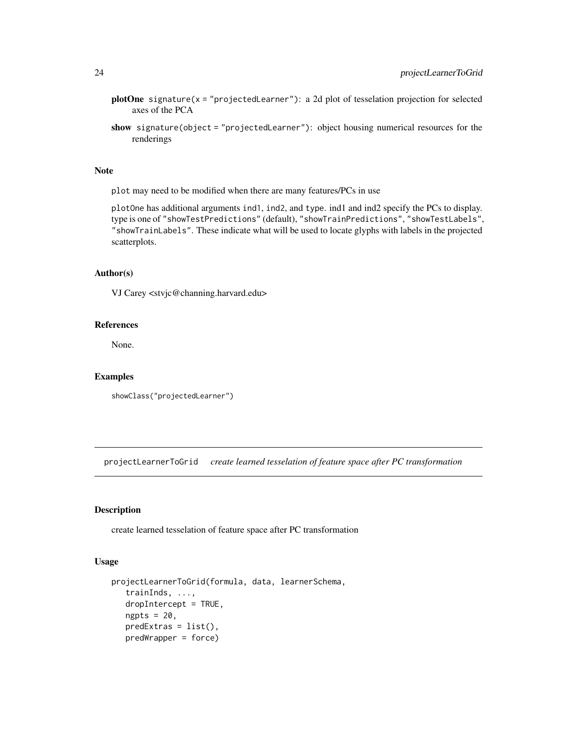- <span id="page-23-0"></span>plotOne signature( $x = "projectedLearner")$ : a 2d plot of tesselation projection for selected axes of the PCA
- show signature(object = "projectedLearner"): object housing numerical resources for the renderings

#### Note

plot may need to be modified when there are many features/PCs in use

plotOne has additional arguments ind1, ind2, and type. ind1 and ind2 specify the PCs to display. type is one of "showTestPredictions" (default), "showTrainPredictions", "showTestLabels", "showTrainLabels". These indicate what will be used to locate glyphs with labels in the projected scatterplots.

#### Author(s)

VJ Carey <stvjc@channing.harvard.edu>

#### References

None.

#### Examples

showClass("projectedLearner")

<span id="page-23-1"></span>projectLearnerToGrid *create learned tesselation of feature space after PC transformation*

#### Description

create learned tesselation of feature space after PC transformation

#### Usage

```
projectLearnerToGrid(formula, data, learnerSchema,
   trainInds, ...,
   dropIntercept = TRUE,
   ngpts = 20,
   predExtras = list(),
   predWrapper = force)
```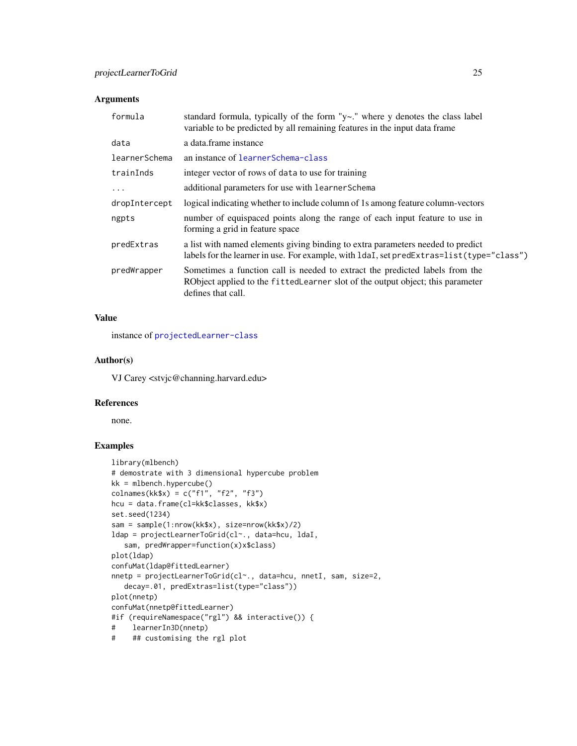# Arguments

| formula       | standard formula, typically of the form " $y$ -." where y denotes the class label<br>variable to be predicted by all remaining features in the input data frame                       |
|---------------|---------------------------------------------------------------------------------------------------------------------------------------------------------------------------------------|
| data          | a data.frame instance                                                                                                                                                                 |
| learnerSchema | an instance of learnerSchema-class                                                                                                                                                    |
| trainInds     | integer vector of rows of data to use for training                                                                                                                                    |
| $\ddots$      | additional parameters for use with learner Schema                                                                                                                                     |
| dropIntercept | logical indicating whether to include column of 1s among feature column-vectors                                                                                                       |
| ngpts         | number of equispaced points along the range of each input feature to use in<br>forming a grid in feature space                                                                        |
| predExtras    | a list with named elements giving binding to extra parameters needed to predict<br>labels for the learner in use. For example, with ldaI, set predExtras=list(type="class")           |
| predWrapper   | Sometimes a function call is needed to extract the predicted labels from the<br>RObject applied to the fitted Learner slot of the output object; this parameter<br>defines that call. |

# Value

instance of [projectedLearner-class](#page-22-1)

#### Author(s)

VJ Carey <stvjc@channing.harvard.edu>

# References

none.

```
library(mlbench)
# demostrate with 3 dimensional hypercube problem
kk = mlbench.hypercube()
colnames(kk$x) = c("f1", "f2", "f3")
hcu = data.frame(cl=kk$classes, kk$x)
set.seed(1234)
sam = sample(1:nrow(kk$x), size=nrow(kk$x)/2)
ldap = projectLearnerToGrid(cl~., data=hcu, ldaI,
   sam, predWrapper=function(x)x$class)
plot(ldap)
confuMat(ldap@fittedLearner)
nnetp = projectLearnerToGrid(cl~., data=hcu, nnetI, sam, size=2,
   decay=.01, predExtras=list(type="class"))
plot(nnetp)
confuMat(nnetp@fittedLearner)
#if (requireNamespace("rgl") && interactive()) {
# learnerIn3D(nnetp)
# ## customising the rgl plot
```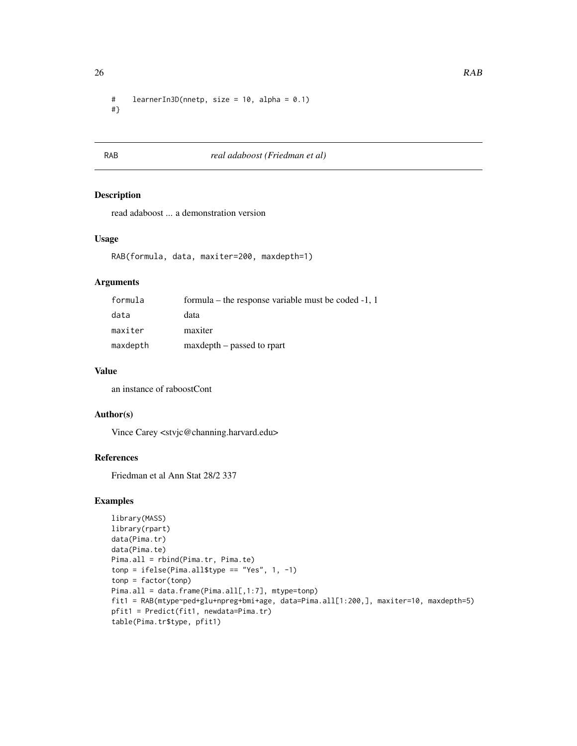<span id="page-25-0"></span># learnerIn3D(nnetp, size = 10, alpha = 0.1) #}

# RAB *real adaboost (Friedman et al)*

# Description

read adaboost ... a demonstration version

#### Usage

```
RAB(formula, data, maxiter=200, maxdepth=1)
```
#### Arguments

| formula  | formula – the response variable must be coded $-1$ , 1 |
|----------|--------------------------------------------------------|
| data     | data                                                   |
| maxiter  | maxiter                                                |
| maxdepth | maxdepth – passed to rpart                             |

# Value

an instance of raboostCont

# Author(s)

Vince Carey <stvjc@channing.harvard.edu>

# References

Friedman et al Ann Stat 28/2 337

```
library(MASS)
library(rpart)
data(Pima.tr)
data(Pima.te)
Pima.all = rbind(Pima.tr, Pima.te)
tonp = ifelse(Pima.all$type == "Yes", 1, -1)
tonp = factor(tonp)
Pima.all = data.frame(Pima.all[,1:7], mtype=tonp)
fit1 = RAB(mtype~ped+glu+npreg+bmi+age, data=Pima.all[1:200,], maxiter=10, maxdepth=5)
pfit1 = Predict(fit1, newdata=Pima.tr)
table(Pima.tr$type, pfit1)
```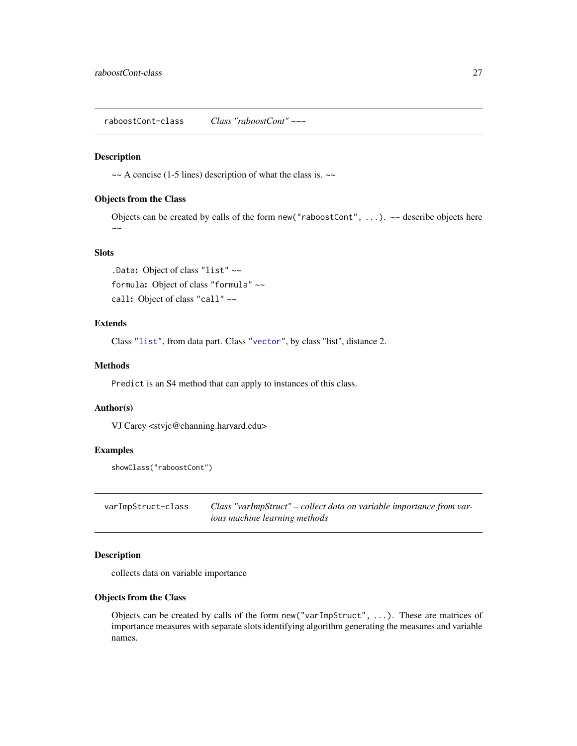#### <span id="page-26-0"></span>Description

 $\sim$  A concise (1-5 lines) description of what the class is.  $\sim$ 

#### Objects from the Class

Objects can be created by calls of the form new ("raboostCont", ...). ~~ describe objects here  $\sim$   $\sim$ 

#### Slots

.Data: Object of class "list" ~~ formula: Object of class "formula" ~~ call: Object of class "call" ~~

#### Extends

Class ["list"](#page-0-0), from data part. Class ["vector"](#page-0-0), by class "list", distance 2.

#### Methods

Predict is an S4 method that can apply to instances of this class.

#### Author(s)

VJ Carey <stvjc@channing.harvard.edu>

# Examples

```
showClass("raboostCont")
```
varImpStruct-class *Class "varImpStruct" – collect data on variable importance from various machine learning methods*

#### Description

collects data on variable importance

#### Objects from the Class

Objects can be created by calls of the form new("varImpStruct", ...). These are matrices of importance measures with separate slots identifying algorithm generating the measures and variable names.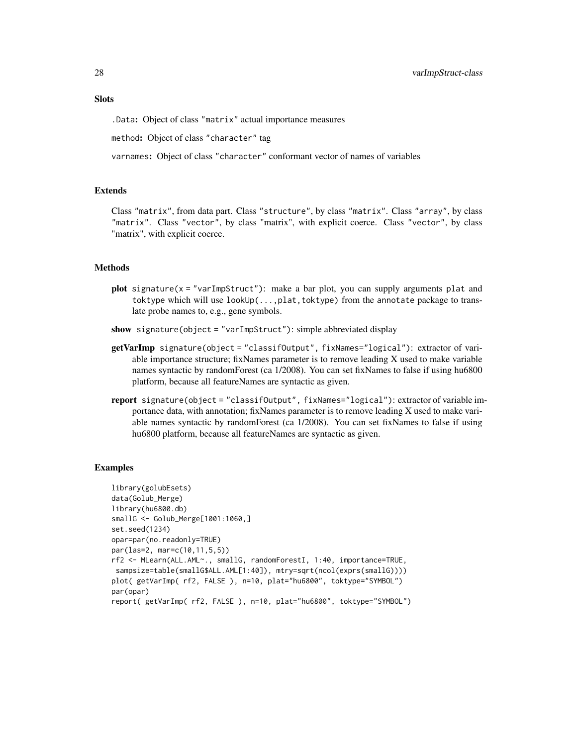# **Slots**

.Data: Object of class "matrix" actual importance measures

method: Object of class "character" tag

varnames: Object of class "character" conformant vector of names of variables

#### Extends

Class "matrix", from data part. Class "structure", by class "matrix". Class "array", by class "matrix". Class "vector", by class "matrix", with explicit coerce. Class "vector", by class "matrix", with explicit coerce.

#### Methods

- $plot$  signature( $x = "varImpStruct")$ : make a bar plot, you can supply arguments plat and toktype which will use lookUp(...,plat,toktype) from the annotate package to translate probe names to, e.g., gene symbols.
- show signature(object = "varImpStruct"): simple abbreviated display
- getVarImp signature(object = "classifOutput", fixNames="logical"): extractor of variable importance structure; fixNames parameter is to remove leading X used to make variable names syntactic by randomForest (ca 1/2008). You can set fixNames to false if using hu6800 platform, because all featureNames are syntactic as given.
- report signature(object = "classifOutput", fixNames="logical"): extractor of variable importance data, with annotation; fixNames parameter is to remove leading X used to make variable names syntactic by randomForest (ca 1/2008). You can set fixNames to false if using hu6800 platform, because all featureNames are syntactic as given.

```
library(golubEsets)
data(Golub_Merge)
library(hu6800.db)
smallG <- Golub_Merge[1001:1060,]
set.seed(1234)
opar=par(no.readonly=TRUE)
par(las=2, mar=c(10,11,5,5))
rf2 <- MLearn(ALL.AML~., smallG, randomForestI, 1:40, importance=TRUE,
sampsize=table(smallG$ALL.AML[1:40]), mtry=sqrt(ncol(exprs(smallG))))
plot( getVarImp( rf2, FALSE ), n=10, plat="hu6800", toktype="SYMBOL")
par(opar)
report( getVarImp( rf2, FALSE ), n=10, plat="hu6800", toktype="SYMBOL")
```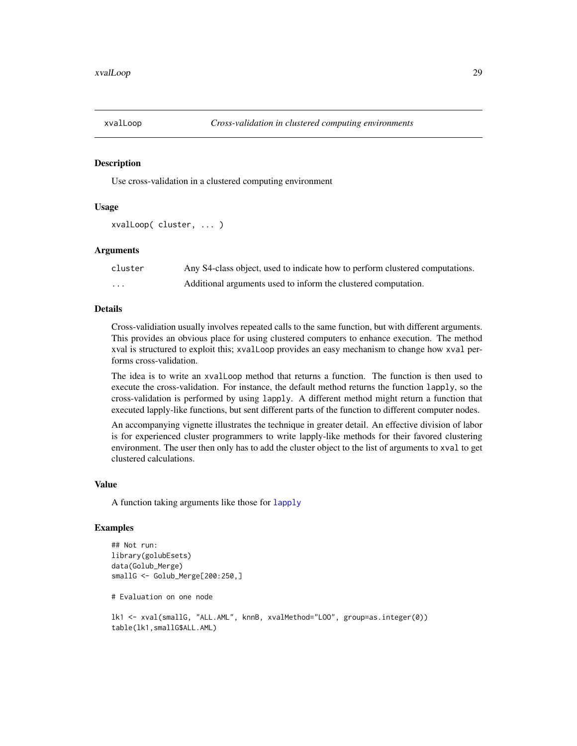<span id="page-28-0"></span>

#### Description

Use cross-validation in a clustered computing environment

# Usage

```
xvalLoop( cluster, ... )
```
#### Arguments

| cluster  | Any S4-class object, used to indicate how to perform clustered computations. |
|----------|------------------------------------------------------------------------------|
| $\cdots$ | Additional arguments used to inform the clustered computation.               |

#### Details

Cross-validiation usually involves repeated calls to the same function, but with different arguments. This provides an obvious place for using clustered computers to enhance execution. The method xval is structured to exploit this; xvalLoop provides an easy mechanism to change how xval performs cross-validation.

The idea is to write an xvalLoop method that returns a function. The function is then used to execute the cross-validation. For instance, the default method returns the function lapply, so the cross-validation is performed by using lapply. A different method might return a function that executed lapply-like functions, but sent different parts of the function to different computer nodes.

An accompanying vignette illustrates the technique in greater detail. An effective division of labor is for experienced cluster programmers to write lapply-like methods for their favored clustering environment. The user then only has to add the cluster object to the list of arguments to xval to get clustered calculations.

#### Value

A function taking arguments like those for [lapply](#page-0-0)

```
## Not run:
library(golubEsets)
data(Golub_Merge)
smallG <- Golub_Merge[200:250,]
# Evaluation on one node
lk1 <- xval(smallG, "ALL.AML", knnB, xvalMethod="LOO", group=as.integer(0))
table(lk1,smallG$ALL.AML)
```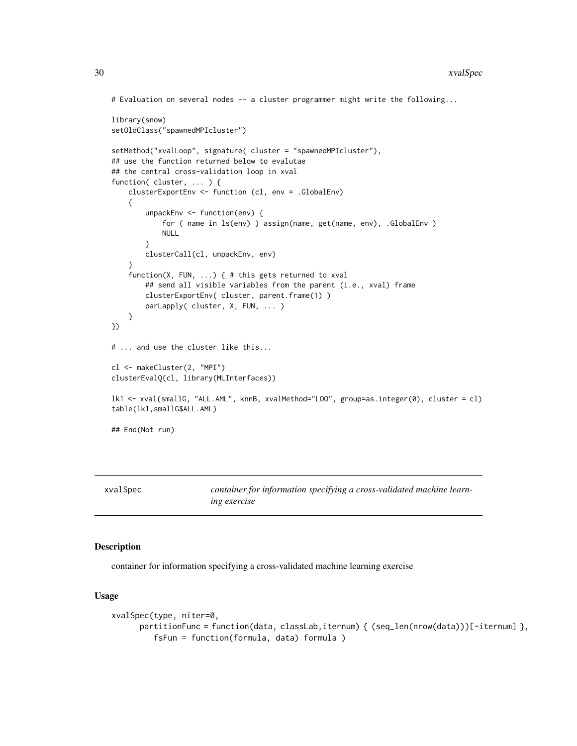```
# Evaluation on several nodes -- a cluster programmer might write the following...
library(snow)
setOldClass("spawnedMPIcluster")
setMethod("xvalLoop", signature( cluster = "spawnedMPIcluster"),
## use the function returned below to evalutae
## the central cross-validation loop in xval
function( cluster, ... ) {
    clusterExportEnv <- function (cl, env = .GlobalEnv)
   {
        unpackEnv <- function(env) {
            for ( name in ls(env) ) assign(name, get(name, env), .GlobalEnv )
            NULL
        }
        clusterCall(cl, unpackEnv, env)
    }
    function(X, FUN, ...) { # this gets returned to xval
        ## send all visible variables from the parent (i.e., xval) frame
        clusterExportEnv( cluster, parent.frame(1) )
        parLapply( cluster, X, FUN, ... )
    }
})
# ... and use the cluster like this...
cl <- makeCluster(2, "MPI")
clusterEvalQ(cl, library(MLInterfaces))
lk1 <- xval(smallG, "ALL.AML", knnB, xvalMethod="LOO", group=as.integer(0), cluster = cl)
table(lk1,smallG$ALL.AML)
## End(Not run)
```
<span id="page-29-1"></span>

xvalSpec *container for information specifying a cross-validated machine learning exercise*

#### <span id="page-29-2"></span>**Description**

container for information specifying a cross-validated machine learning exercise

#### Usage

```
xvalSpec(type, niter=0,
      partitionFunc = function(data, classLab,iternum) { (seq_{len}(nrow(data))) [-iternum] },
         fsFun = function(formula, data) formula )
```
<span id="page-29-0"></span>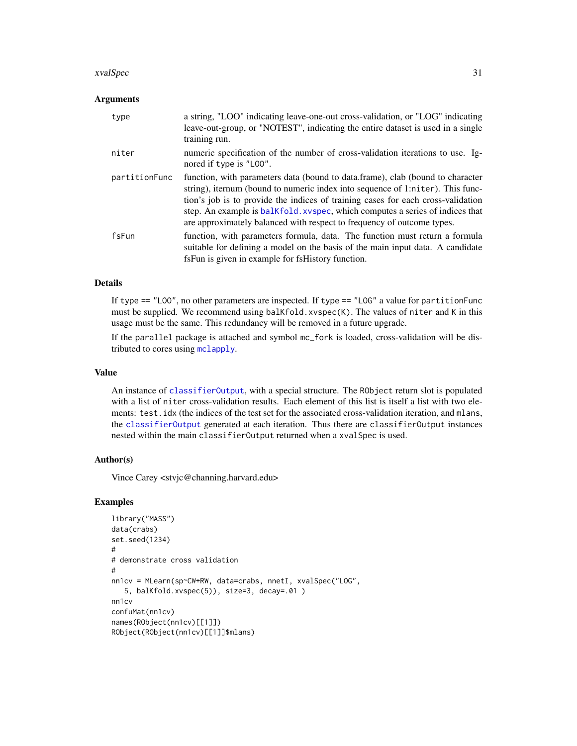#### <span id="page-30-0"></span>xvalSpec 31

#### Arguments

| type          | a string, "LOO" indicating leave-one-out cross-validation, or "LOG" indicating<br>leave-out-group, or "NOTEST", indicating the entire dataset is used in a single<br>training run.                                                                                                                                                                                                                              |
|---------------|-----------------------------------------------------------------------------------------------------------------------------------------------------------------------------------------------------------------------------------------------------------------------------------------------------------------------------------------------------------------------------------------------------------------|
| niter         | numeric specification of the number of cross-validation iterations to use. Ig-<br>nored if type is "LOO".                                                                                                                                                                                                                                                                                                       |
| partitionFunc | function, with parameters data (bound to data.frame), clab (bound to character<br>string), iternum (bound to numeric index into sequence of 1:niter). This func-<br>tion's job is to provide the indices of training cases for each cross-validation<br>step. An example is balkfold, xyspec, which computes a series of indices that<br>are approximately balanced with respect to frequency of outcome types. |
| fsFun         | function, with parameters formula, data. The function must return a formula<br>suitable for defining a model on the basis of the main input data. A candidate<br>fsFun is given in example for fsHistory function.                                                                                                                                                                                              |

#### Details

If type == "LOO", no other parameters are inspected. If type == "LOG" a value for partitionFunc must be supplied. We recommend using balKfold.xvspec(K). The values of niter and K in this usage must be the same. This redundancy will be removed in a future upgrade.

If the parallel package is attached and symbol mc\_fork is loaded, cross-validation will be distributed to cores using [mclapply](#page-0-0).

#### Value

An instance of [classifierOutput](#page-2-1), with a special structure. The RObject return slot is populated with a list of niter cross-validation results. Each element of this list is itself a list with two elements: test.idx (the indices of the test set for the associated cross-validation iteration, and mlans, the [classifierOutput](#page-2-1) generated at each iteration. Thus there are classifierOutput instances nested within the main classifierOutput returned when a xvalSpec is used.

#### Author(s)

Vince Carey <stvjc@channing.harvard.edu>

```
library("MASS")
data(crabs)
set.seed(1234)
#
# demonstrate cross validation
#
nn1cv = MLearn(sp~CW+RW, data=crabs, nnetI, xvalSpec("LOG",
   5, balKfold.xvspec(5)), size=3, decay=.01 )
nn1cv
confuMat(nn1cv)
names(RObject(nn1cv)[[1]])
RObject(RObject(nn1cv)[[1]]$mlans)
```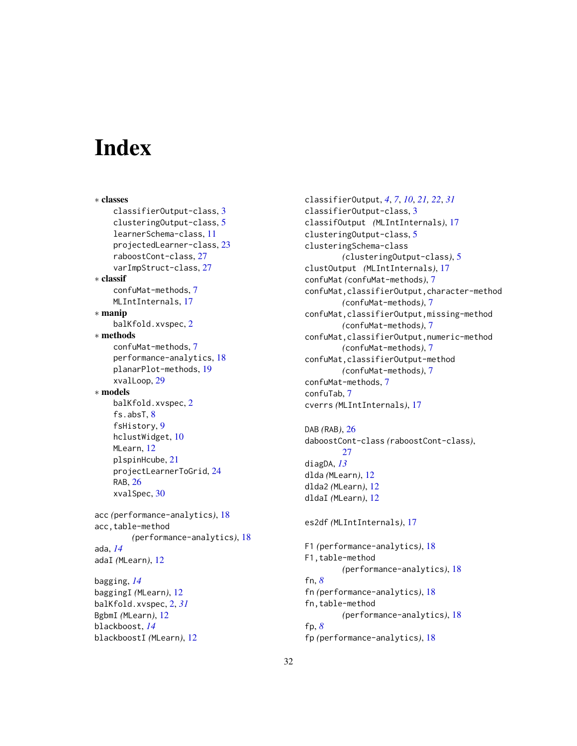# <span id="page-31-0"></span>**Index**

∗ classes classifierOutput-class, [3](#page-2-0) clusteringOutput-class, [5](#page-4-0) learnerSchema-class, [11](#page-10-0) projectedLearner-class, [23](#page-22-0) raboostCont-class, [27](#page-26-0) varImpStruct-class, [27](#page-26-0) ∗ classif confuMat-methods, [7](#page-6-0) MLIntInternals, [17](#page-16-0) ∗ manip balKfold.xvspec, [2](#page-1-0) ∗ methods confuMat-methods, [7](#page-6-0) performance-analytics, [18](#page-17-0) planarPlot-methods, [19](#page-18-0) xvalLoop, [29](#page-28-0) ∗ models balKfold.xvspec, [2](#page-1-0) fs.absT, [8](#page-7-0) fsHistory, [9](#page-8-0) hclustWidget, [10](#page-9-0) MLearn, [12](#page-11-0) plspinHcube, [21](#page-20-0) projectLearnerToGrid, [24](#page-23-0) RAB, [26](#page-25-0) xvalSpec, [30](#page-29-0) acc *(*performance-analytics*)*, [18](#page-17-0) acc,table-method *(*performance-analytics*)*, [18](#page-17-0) ada, *[14](#page-13-0)* adaI *(*MLearn*)*, [12](#page-11-0) bagging, *[14](#page-13-0)* baggingI *(*MLearn*)*, [12](#page-11-0) balKfold.xvspec, [2,](#page-1-0) *[31](#page-30-0)* BgbmI *(*MLearn*)*, [12](#page-11-0) blackboost, *[14](#page-13-0)* blackboostI *(*MLearn*)*, [12](#page-11-0)

classifierOutput, *[4](#page-3-0)*, *[7](#page-6-0)*, *[10](#page-9-0)*, *[21,](#page-20-0) [22](#page-21-0)*, *[31](#page-30-0)* classifierOutput-class, [3](#page-2-0) classifOutput *(*MLIntInternals*)*, [17](#page-16-0) clusteringOutput-class, [5](#page-4-0) clusteringSchema-class *(*clusteringOutput-class*)*, [5](#page-4-0) clustOutput *(*MLIntInternals*)*, [17](#page-16-0) confuMat *(*confuMat-methods*)*, [7](#page-6-0) confuMat,classifierOutput,character-method *(*confuMat-methods*)*, [7](#page-6-0) confuMat,classifierOutput,missing-method *(*confuMat-methods*)*, [7](#page-6-0) confuMat,classifierOutput,numeric-method *(*confuMat-methods*)*, [7](#page-6-0) confuMat,classifierOutput-method *(*confuMat-methods*)*, [7](#page-6-0) confuMat-methods, [7](#page-6-0) confuTab, [7](#page-6-0) cverrs *(*MLIntInternals*)*, [17](#page-16-0) DAB *(*RAB*)*, [26](#page-25-0) daboostCont-class *(*raboostCont-class*)*, [27](#page-26-0) diagDA, *[13](#page-12-0)* dlda *(*MLearn*)*, [12](#page-11-0) dlda2 *(*MLearn*)*, [12](#page-11-0) dldaI *(*MLearn*)*, [12](#page-11-0) es2df *(*MLIntInternals*)*, [17](#page-16-0)

F1 *(*performance-analytics*)*, [18](#page-17-0) F1,table-method *(*performance-analytics*)*, [18](#page-17-0) fn, *[8](#page-7-0)* fn *(*performance-analytics*)*, [18](#page-17-0) fn,table-method *(*performance-analytics*)*, [18](#page-17-0) fp, *[8](#page-7-0)* fp *(*performance-analytics*)*, [18](#page-17-0)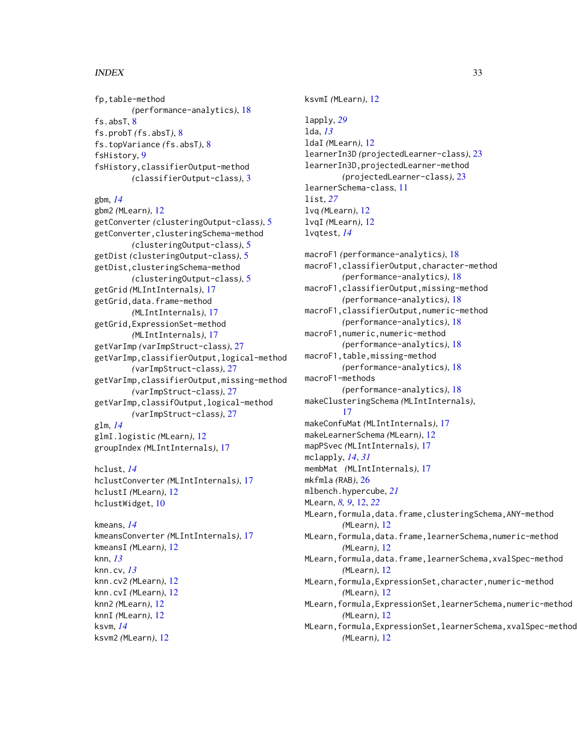# $I<sub>N</sub>DEX$  33

fp,table-method *(*performance-analytics*)*, [18](#page-17-0) fs.absT, [8](#page-7-0) fs.probT *(*fs.absT*)*, [8](#page-7-0) fs.topVariance *(*fs.absT*)*, [8](#page-7-0) fsHistory, [9](#page-8-0) fsHistory,classifierOutput-method *(*classifierOutput-class*)*, [3](#page-2-0)

gbm, *[14](#page-13-0)* gbm2 *(*MLearn*)*, [12](#page-11-0) getConverter *(*clusteringOutput-class*)*, [5](#page-4-0) getConverter,clusteringSchema-method *(*clusteringOutput-class*)*, [5](#page-4-0) getDist *(*clusteringOutput-class*)*, [5](#page-4-0) getDist,clusteringSchema-method *(*clusteringOutput-class*)*, [5](#page-4-0) getGrid *(*MLIntInternals*)*, [17](#page-16-0) getGrid,data.frame-method *(*MLIntInternals*)*, [17](#page-16-0) getGrid,ExpressionSet-method *(*MLIntInternals*)*, [17](#page-16-0) getVarImp *(*varImpStruct-class*)*, [27](#page-26-0) getVarImp,classifierOutput,logical-method *(*varImpStruct-class*)*, [27](#page-26-0) getVarImp,classifierOutput,missing-method *(*varImpStruct-class*)*, [27](#page-26-0) getVarImp,classifOutput,logical-method *(*varImpStruct-class*)*, [27](#page-26-0) glm, *[14](#page-13-0)* glmI.logistic *(*MLearn*)*, [12](#page-11-0) groupIndex *(*MLIntInternals*)*, [17](#page-16-0)

hclust, *[14](#page-13-0)* hclustConverter *(*MLIntInternals*)*, [17](#page-16-0) hclustI *(*MLearn*)*, [12](#page-11-0) hclustWidget, [10](#page-9-0)

kmeans, *[14](#page-13-0)* kmeansConverter *(*MLIntInternals*)*, [17](#page-16-0) kmeansI *(*MLearn*)*, [12](#page-11-0) knn, *[13](#page-12-0)* knn.cv, *[13](#page-12-0)* knn.cv2 *(*MLearn*)*, [12](#page-11-0) knn.cvI *(*MLearn*)*, [12](#page-11-0) knn2 *(*MLearn*)*, [12](#page-11-0) knnI *(*MLearn*)*, [12](#page-11-0) ksvm, *[14](#page-13-0)* ksvm2 *(*MLearn*)*, [12](#page-11-0)

ksvmI *(*MLearn*)*, [12](#page-11-0) lapply, *[29](#page-28-0)* lda, *[13](#page-12-0)* ldaI *(*MLearn*)*, [12](#page-11-0) learnerIn3D *(*projectedLearner-class*)*, [23](#page-22-0) learnerIn3D,projectedLearner-method *(*projectedLearner-class*)*, [23](#page-22-0) learnerSchema-class, [11](#page-10-0) list, *[27](#page-26-0)* lvq *(*MLearn*)*, [12](#page-11-0) lvqI *(*MLearn*)*, [12](#page-11-0) lvqtest, *[14](#page-13-0)* macroF1 *(*performance-analytics*)*, [18](#page-17-0) macroF1,classifierOutput,character-method *(*performance-analytics*)*, [18](#page-17-0) macroF1,classifierOutput,missing-method *(*performance-analytics*)*, [18](#page-17-0) macroF1,classifierOutput,numeric-method *(*performance-analytics*)*, [18](#page-17-0) macroF1,numeric,numeric-method *(*performance-analytics*)*, [18](#page-17-0) macroF1, table, missing-method *(*performance-analytics*)*, [18](#page-17-0) macroF1-methods *(*performance-analytics*)*, [18](#page-17-0) makeClusteringSchema *(*MLIntInternals*)*, [17](#page-16-0) makeConfuMat *(*MLIntInternals*)*, [17](#page-16-0) makeLearnerSchema *(*MLearn*)*, [12](#page-11-0) mapPSvec *(*MLIntInternals*)*, [17](#page-16-0) mclapply, *[14](#page-13-0)*, *[31](#page-30-0)* membMat *(*MLIntInternals*)*, [17](#page-16-0) mkfmla *(*RAB*)*, [26](#page-25-0) mlbench.hypercube, *[21](#page-20-0)* MLearn, *[8,](#page-7-0) [9](#page-8-0)*, [12,](#page-11-0) *[22](#page-21-0)* MLearn,formula,data.frame,clusteringSchema,ANY-method *(*MLearn*)*, [12](#page-11-0) MLearn, formula, data.frame, learnerSchema, numeric-method *(*MLearn*)*, [12](#page-11-0) MLearn,formula,data.frame,learnerSchema,xvalSpec-method *(*MLearn*)*, [12](#page-11-0) MLearn,formula,ExpressionSet,character,numeric-method *(*MLearn*)*, [12](#page-11-0)

MLearn,formula,ExpressionSet,learnerSchema,numeric-method *(*MLearn*)*, [12](#page-11-0) MLearn,formula,ExpressionSet,learnerSchema,xvalSpec-method

*(*MLearn*)*, [12](#page-11-0)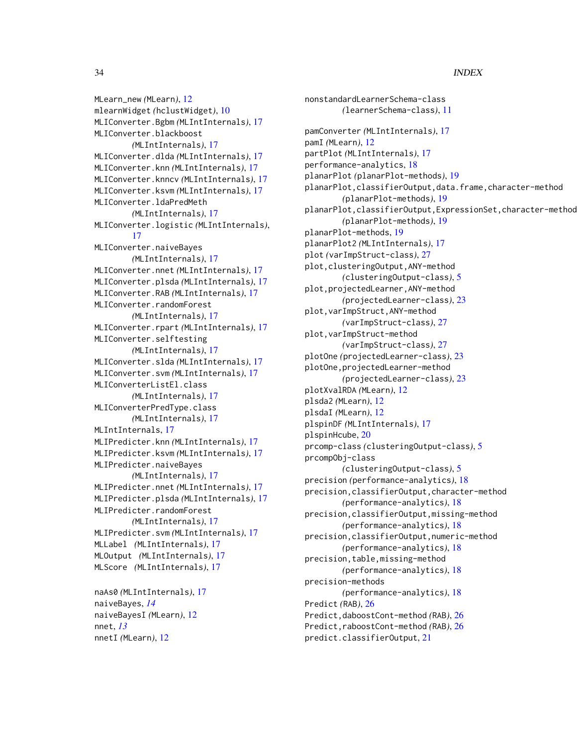MLearn\_new *(*MLearn*)*, [12](#page-11-0) mlearnWidget *(*hclustWidget*)*, [10](#page-9-0) MLIConverter.Bgbm *(*MLIntInternals*)*, [17](#page-16-0) MLIConverter.blackboost *(*MLIntInternals*)*, [17](#page-16-0) MLIConverter.dlda *(*MLIntInternals*)*, [17](#page-16-0) MLIConverter.knn *(*MLIntInternals*)*, [17](#page-16-0) MLIConverter.knncv *(*MLIntInternals*)*, [17](#page-16-0) MLIConverter.ksvm *(*MLIntInternals*)*, [17](#page-16-0) MLIConverter.ldaPredMeth *(*MLIntInternals*)*, [17](#page-16-0) MLIConverter.logistic *(*MLIntInternals*)*, [17](#page-16-0) MLIConverter.naiveBayes *(*MLIntInternals*)*, [17](#page-16-0) MLIConverter.nnet *(*MLIntInternals*)*, [17](#page-16-0) MLIConverter.plsda *(*MLIntInternals*)*, [17](#page-16-0) MLIConverter.RAB *(*MLIntInternals*)*, [17](#page-16-0) MLIConverter.randomForest *(*MLIntInternals*)*, [17](#page-16-0) MLIConverter.rpart *(*MLIntInternals*)*, [17](#page-16-0) MLIConverter.selftesting *(*MLIntInternals*)*, [17](#page-16-0) MLIConverter.slda *(*MLIntInternals*)*, [17](#page-16-0) MLIConverter.svm *(*MLIntInternals*)*, [17](#page-16-0) MLIConverterListEl.class *(*MLIntInternals*)*, [17](#page-16-0) MLIConverterPredType.class *(*MLIntInternals*)*, [17](#page-16-0) MLIntInternals, [17](#page-16-0) MLIPredicter.knn *(*MLIntInternals*)*, [17](#page-16-0) MLIPredicter.ksvm *(*MLIntInternals*)*, [17](#page-16-0) MLIPredicter.naiveBayes *(*MLIntInternals*)*, [17](#page-16-0) MLIPredicter.nnet *(*MLIntInternals*)*, [17](#page-16-0) MLIPredicter.plsda *(*MLIntInternals*)*, [17](#page-16-0) MLIPredicter.randomForest *(*MLIntInternals*)*, [17](#page-16-0) MLIPredicter.svm *(*MLIntInternals*)*, [17](#page-16-0) MLLabel *(*MLIntInternals*)*, [17](#page-16-0) MLOutput *(*MLIntInternals*)*, [17](#page-16-0) MLScore *(*MLIntInternals*)*, [17](#page-16-0) naAs0 *(*MLIntInternals*)*, [17](#page-16-0)

```
naiveBayes, 14
naiveBayesI (MLearn), 12
nnet, 13
nnetI (MLearn), 12
```
nonstandardLearnerSchema-class *(*learnerSchema-class*)*, [11](#page-10-0) pamConverter *(*MLIntInternals*)*, [17](#page-16-0) pamI *(*MLearn*)*, [12](#page-11-0) partPlot *(*MLIntInternals*)*, [17](#page-16-0) performance-analytics, [18](#page-17-0) planarPlot *(*planarPlot-methods*)*, [19](#page-18-0) planarPlot,classifierOutput,data.frame,character-method *(*planarPlot-methods*)*, [19](#page-18-0) planarPlot,classifierOutput,ExpressionSet,character-method *(*planarPlot-methods*)*, [19](#page-18-0) planarPlot-methods, [19](#page-18-0) planarPlot2 *(*MLIntInternals*)*, [17](#page-16-0) plot *(*varImpStruct-class*)*, [27](#page-26-0) plot,clusteringOutput,ANY-method *(*clusteringOutput-class*)*, [5](#page-4-0) plot,projectedLearner,ANY-method *(*projectedLearner-class*)*, [23](#page-22-0) plot,varImpStruct,ANY-method *(*varImpStruct-class*)*, [27](#page-26-0) plot,varImpStruct-method *(*varImpStruct-class*)*, [27](#page-26-0) plotOne *(*projectedLearner-class*)*, [23](#page-22-0) plotOne,projectedLearner-method *(*projectedLearner-class*)*, [23](#page-22-0) plotXvalRDA *(*MLearn*)*, [12](#page-11-0) plsda2 *(*MLearn*)*, [12](#page-11-0) plsdaI *(*MLearn*)*, [12](#page-11-0) plspinDF *(*MLIntInternals*)*, [17](#page-16-0) plspinHcube, [20](#page-19-0) prcomp-class *(*clusteringOutput-class*)*, [5](#page-4-0) prcompObj-class *(*clusteringOutput-class*)*, [5](#page-4-0) precision *(*performance-analytics*)*, [18](#page-17-0) precision,classifierOutput,character-method *(*performance-analytics*)*, [18](#page-17-0) precision,classifierOutput,missing-method *(*performance-analytics*)*, [18](#page-17-0) precision,classifierOutput,numeric-method *(*performance-analytics*)*, [18](#page-17-0) precision,table,missing-method *(*performance-analytics*)*, [18](#page-17-0) precision-methods *(*performance-analytics*)*, [18](#page-17-0) Predict *(*RAB*)*, [26](#page-25-0) Predict,daboostCont-method *(*RAB*)*, [26](#page-25-0) Predict,raboostCont-method *(*RAB*)*, [26](#page-25-0) predict.classifierOutput, [21](#page-20-0)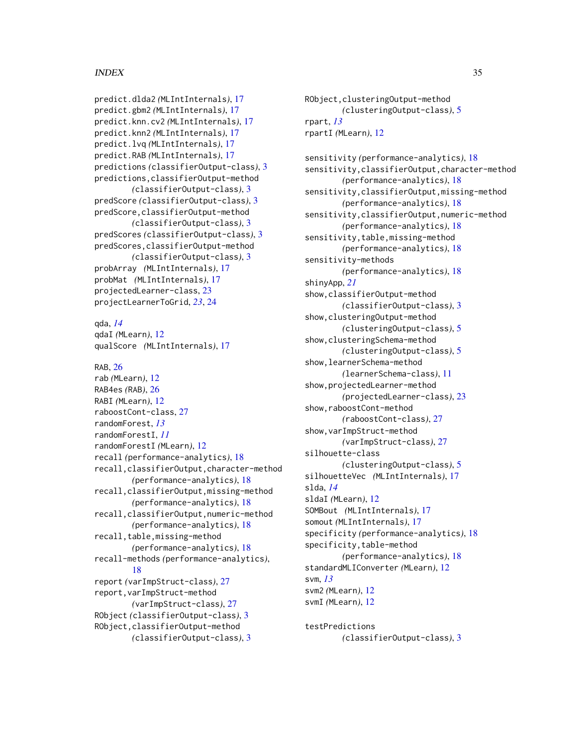#### INDEX 35

predict.dlda2 *(*MLIntInternals*)*, [17](#page-16-0) predict.gbm2 *(*MLIntInternals*)*, [17](#page-16-0) predict.knn.cv2 *(*MLIntInternals*)*, [17](#page-16-0) predict.knn2 *(*MLIntInternals*)*, [17](#page-16-0) predict.lvq *(*MLIntInternals*)*, [17](#page-16-0) predict.RAB *(*MLIntInternals*)*, [17](#page-16-0) predictions *(*classifierOutput-class*)*, [3](#page-2-0) predictions,classifierOutput-method *(*classifierOutput-class*)*, [3](#page-2-0) predScore *(*classifierOutput-class*)*, [3](#page-2-0) predScore,classifierOutput-method *(*classifierOutput-class*)*, [3](#page-2-0) predScores *(*classifierOutput-class*)*, [3](#page-2-0) predScores,classifierOutput-method *(*classifierOutput-class*)*, [3](#page-2-0) probArray *(*MLIntInternals*)*, [17](#page-16-0) probMat *(*MLIntInternals*)*, [17](#page-16-0) projectedLearner-class, [23](#page-22-0) projectLearnerToGrid, *[23](#page-22-0)*, [24](#page-23-0) qda, *[14](#page-13-0)* qdaI *(*MLearn*)*, [12](#page-11-0) qualScore *(*MLIntInternals*)*, [17](#page-16-0) RAB, [26](#page-25-0)

```
rab (MLearn), 12
RAB4es (RAB), 26
RABI (MLearn), 12
raboostCont-class, 27
randomForest, 13
randomForestI, 11
randomForestI (MLearn), 12
recall (performance-analytics), 18
recall,classifierOutput,character-method
        (performance-analytics), 18
recall,classifierOutput,missing-method
        (performance-analytics), 18
recall,classifierOutput,numeric-method
        (performance-analytics), 18
recall, table, missing-method
        (performance-analytics), 18
recall-methods (performance-analytics),
        18
report (varImpStruct-class), 27
report,varImpStruct-method
        (varImpStruct-class), 27
RObject (classifierOutput-class), 3
RObject,classifierOutput-method
        (classifierOutput-class), 3
```
RObject,clusteringOutput-method *(*clusteringOutput-class*)*, [5](#page-4-0) rpart, *[13](#page-12-0)* rpartI *(*MLearn*)*, [12](#page-11-0) sensitivity *(*performance-analytics*)*, [18](#page-17-0) sensitivity,classifierOutput,character-method *(*performance-analytics*)*, [18](#page-17-0) sensitivity,classifierOutput,missing-method *(*performance-analytics*)*, [18](#page-17-0) sensitivity,classifierOutput,numeric-method *(*performance-analytics*)*, [18](#page-17-0) sensitivity,table,missing-method *(*performance-analytics*)*, [18](#page-17-0) sensitivity-methods *(*performance-analytics*)*, [18](#page-17-0) shinyApp, *[21](#page-20-0)* show,classifierOutput-method *(*classifierOutput-class*)*, [3](#page-2-0) show,clusteringOutput-method *(*clusteringOutput-class*)*, [5](#page-4-0) show,clusteringSchema-method *(*clusteringOutput-class*)*, [5](#page-4-0) show,learnerSchema-method *(*learnerSchema-class*)*, [11](#page-10-0) show,projectedLearner-method *(*projectedLearner-class*)*, [23](#page-22-0) show, raboostCont-method *(*raboostCont-class*)*, [27](#page-26-0) show,varImpStruct-method *(*varImpStruct-class*)*, [27](#page-26-0) silhouette-class *(*clusteringOutput-class*)*, [5](#page-4-0) silhouetteVec *(*MLIntInternals*)*, [17](#page-16-0) slda, *[14](#page-13-0)* sldaI *(*MLearn*)*, [12](#page-11-0) SOMBout *(*MLIntInternals*)*, [17](#page-16-0) somout *(*MLIntInternals*)*, [17](#page-16-0) specificity *(*performance-analytics*)*, [18](#page-17-0) specificity,table-method *(*performance-analytics*)*, [18](#page-17-0) standardMLIConverter *(*MLearn*)*, [12](#page-11-0) svm, *[13](#page-12-0)* svm2 *(*MLearn*)*, [12](#page-11-0) svmI *(*MLearn*)*, [12](#page-11-0)

testPredictions *(*classifierOutput-class*)*, [3](#page-2-0)